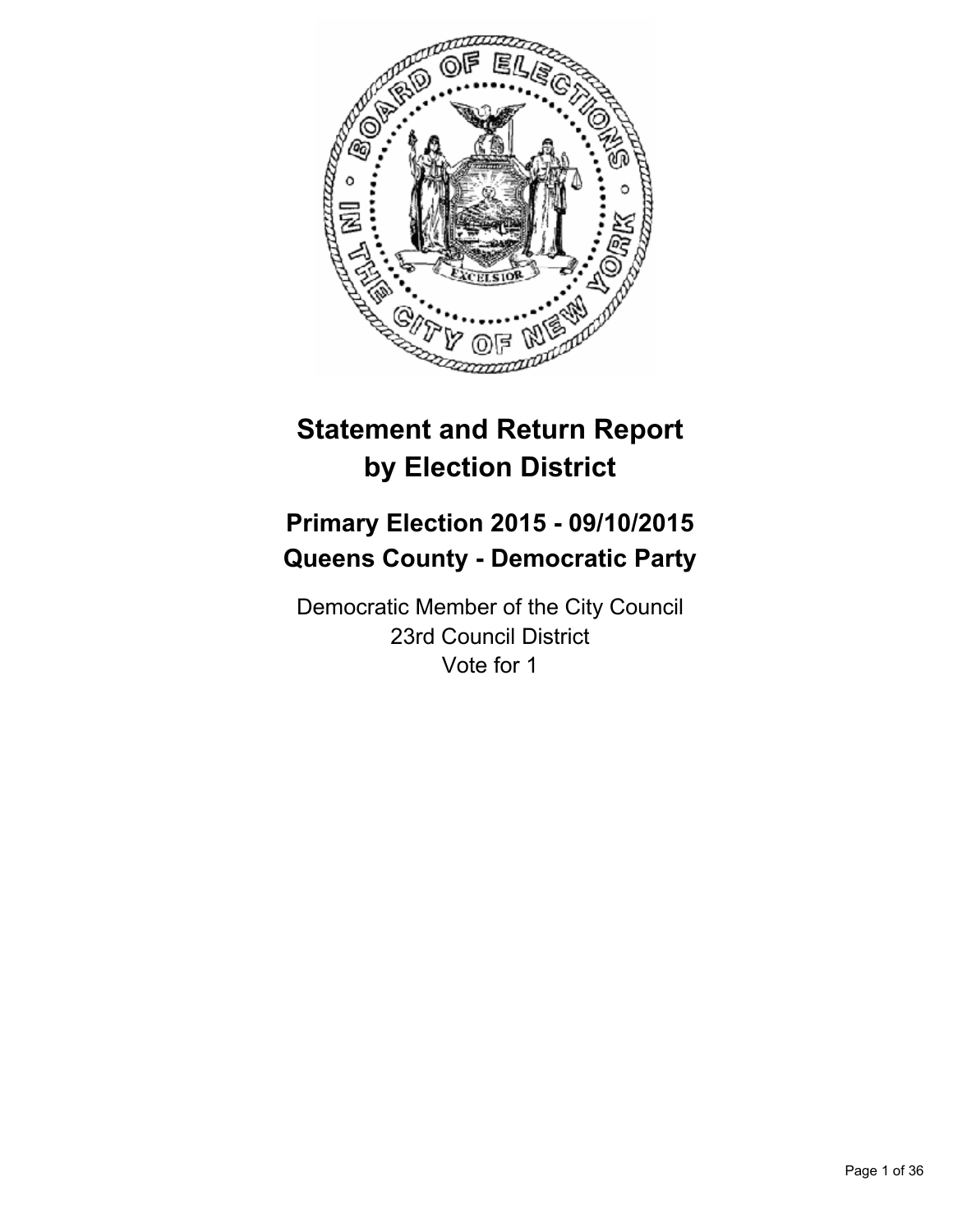

# **Statement and Return Report by Election District**

# **Primary Election 2015 - 09/10/2015 Queens County - Democratic Party**

Democratic Member of the City Council 23rd Council District Vote for 1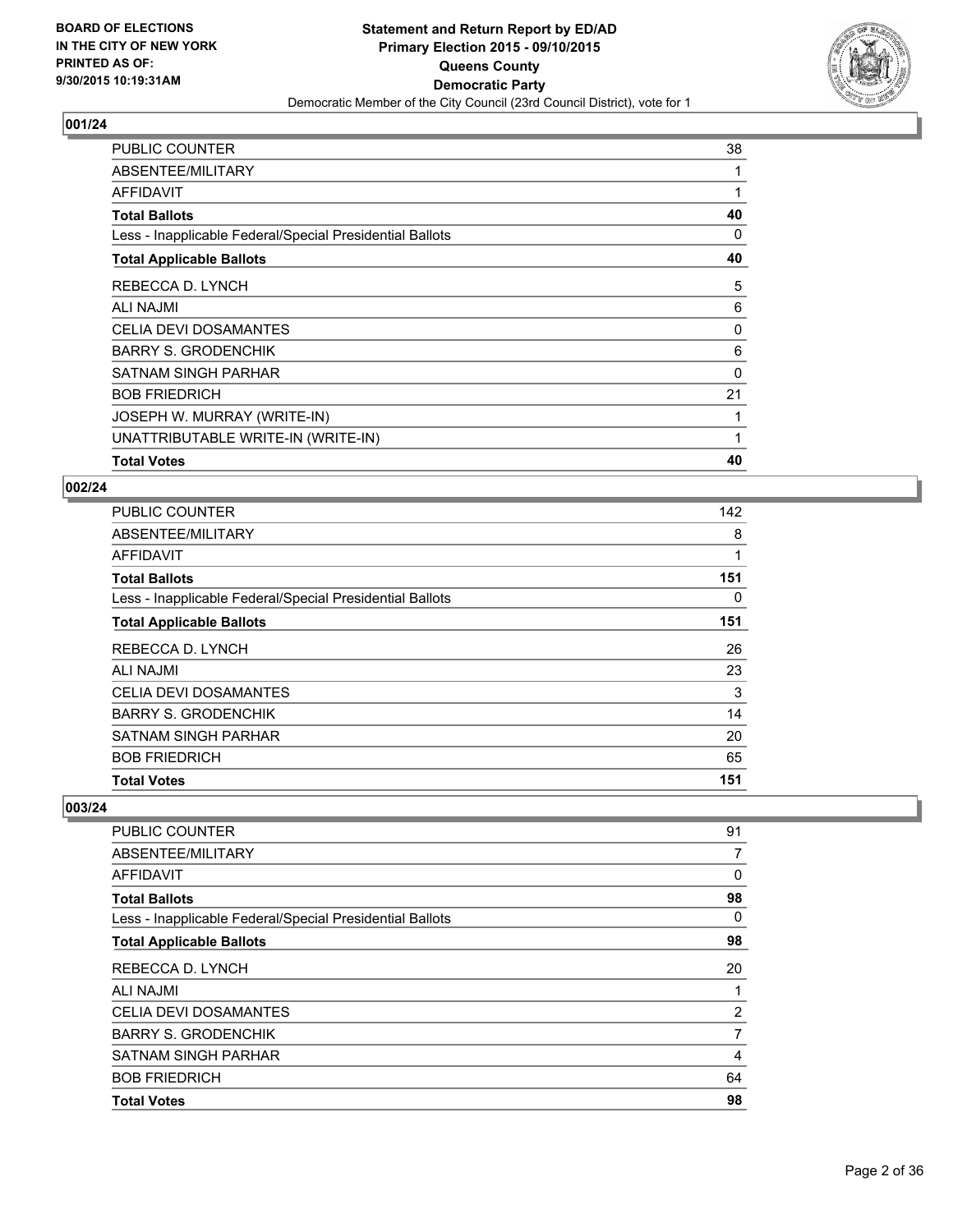

| <b>PUBLIC COUNTER</b>                                    | 38 |
|----------------------------------------------------------|----|
| ABSENTEE/MILITARY                                        |    |
| <b>AFFIDAVIT</b>                                         | 1  |
| <b>Total Ballots</b>                                     | 40 |
| Less - Inapplicable Federal/Special Presidential Ballots | 0  |
| <b>Total Applicable Ballots</b>                          | 40 |
| REBECCA D. LYNCH                                         | 5  |
| ALI NAJMI                                                | 6  |
| <b>CELIA DEVI DOSAMANTES</b>                             | 0  |
| <b>BARRY S. GRODENCHIK</b>                               | 6  |
| SATNAM SINGH PARHAR                                      | 0  |
| <b>BOB FRIEDRICH</b>                                     | 21 |
| JOSEPH W. MURRAY (WRITE-IN)                              |    |
| UNATTRIBUTABLE WRITE-IN (WRITE-IN)                       | 1  |
| <b>Total Votes</b>                                       | 40 |

#### **002/24**

| PUBLIC COUNTER                                           | 142 |
|----------------------------------------------------------|-----|
| ABSENTEE/MILITARY                                        | 8   |
| AFFIDAVIT                                                | 1   |
| <b>Total Ballots</b>                                     | 151 |
| Less - Inapplicable Federal/Special Presidential Ballots | 0   |
| <b>Total Applicable Ballots</b>                          | 151 |
| REBECCA D. LYNCH                                         | 26  |
| ALI NAJMI                                                | 23  |
| <b>CELIA DEVI DOSAMANTES</b>                             | 3   |
| <b>BARRY S. GRODENCHIK</b>                               | 14  |
| SATNAM SINGH PARHAR                                      | 20  |
| <b>BOB FRIEDRICH</b>                                     | 65  |
| <b>Total Votes</b>                                       | 151 |

| <b>PUBLIC COUNTER</b>                                    | 91 |
|----------------------------------------------------------|----|
| ABSENTEE/MILITARY                                        | 7  |
| AFFIDAVIT                                                | 0  |
| <b>Total Ballots</b>                                     | 98 |
| Less - Inapplicable Federal/Special Presidential Ballots | 0  |
| <b>Total Applicable Ballots</b>                          | 98 |
| REBECCA D. LYNCH                                         | 20 |
| ALI NAJMI                                                | 1  |
| <b>CELIA DEVI DOSAMANTES</b>                             | 2  |
| <b>BARRY S. GRODENCHIK</b>                               | 7  |
| <b>SATNAM SINGH PARHAR</b>                               | 4  |
| <b>BOB FRIEDRICH</b>                                     | 64 |
| <b>Total Votes</b>                                       | 98 |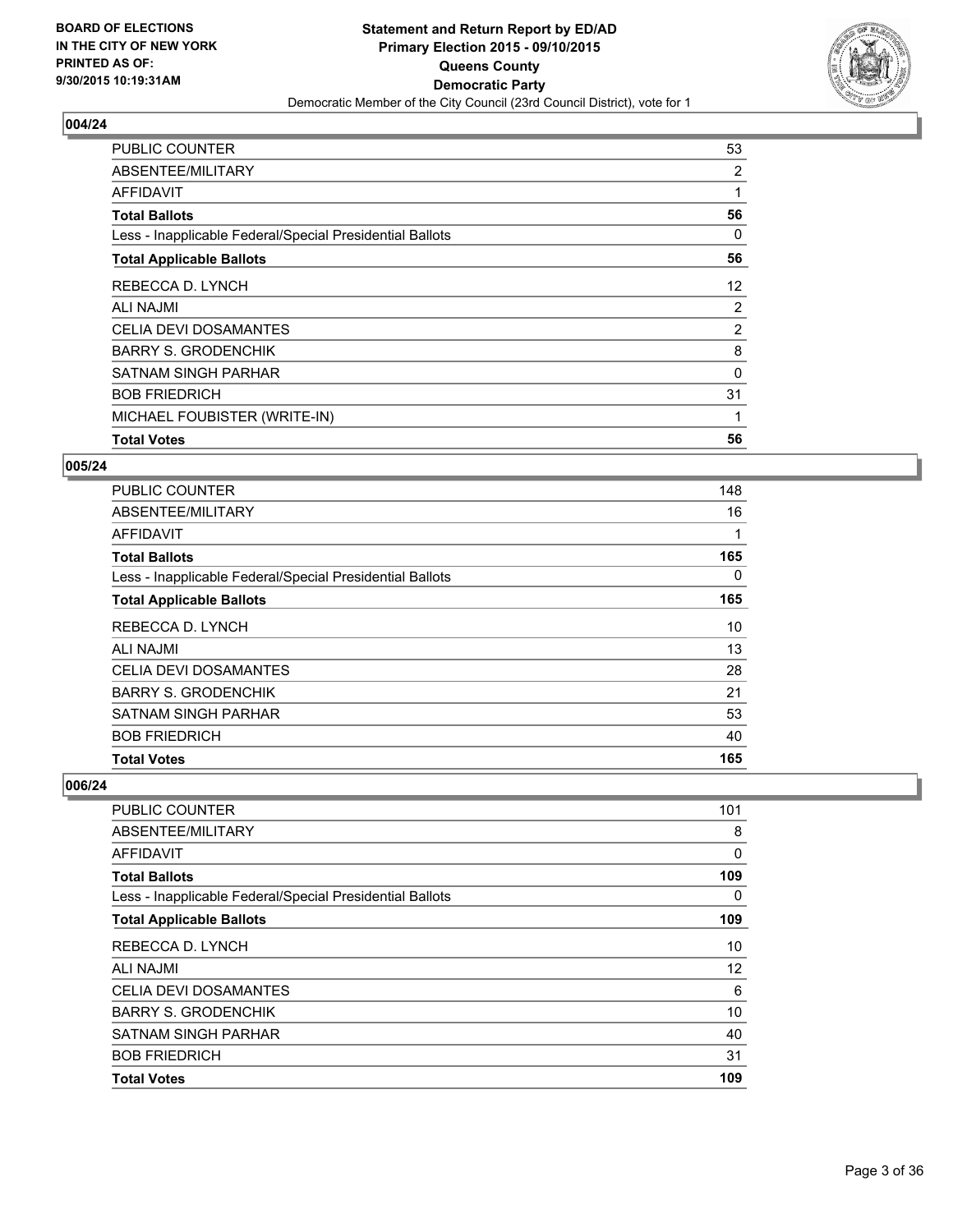

| <b>PUBLIC COUNTER</b>                                    | 53             |
|----------------------------------------------------------|----------------|
| ABSENTEE/MILITARY                                        | 2              |
| <b>AFFIDAVIT</b>                                         |                |
| <b>Total Ballots</b>                                     | 56             |
| Less - Inapplicable Federal/Special Presidential Ballots | 0              |
| <b>Total Applicable Ballots</b>                          | 56             |
| REBECCA D. LYNCH                                         | 12             |
| ALI NAJMI                                                | $\overline{2}$ |
| <b>CELIA DEVI DOSAMANTES</b>                             | 2              |
| <b>BARRY S. GRODENCHIK</b>                               | 8              |
| <b>SATNAM SINGH PARHAR</b>                               | $\Omega$       |
| <b>BOB FRIEDRICH</b>                                     | 31             |
| MICHAEL FOUBISTER (WRITE-IN)                             | 1              |
| <b>Total Votes</b>                                       | 56             |

#### **005/24**

| <b>PUBLIC COUNTER</b>                                    | 148 |
|----------------------------------------------------------|-----|
| ABSENTEE/MILITARY                                        | 16  |
| AFFIDAVIT                                                | 1   |
| <b>Total Ballots</b>                                     | 165 |
| Less - Inapplicable Federal/Special Presidential Ballots | 0   |
| <b>Total Applicable Ballots</b>                          | 165 |
| REBECCA D. LYNCH                                         | 10  |
| <b>ALI NAJMI</b>                                         | 13  |
| <b>CELIA DEVI DOSAMANTES</b>                             | 28  |
| <b>BARRY S. GRODENCHIK</b>                               | 21  |
| <b>SATNAM SINGH PARHAR</b>                               | 53  |
| <b>BOB FRIEDRICH</b>                                     | 40  |
| <b>Total Votes</b>                                       | 165 |

| <b>Total Votes</b>                                       | 109 |
|----------------------------------------------------------|-----|
| <b>BOB FRIEDRICH</b>                                     | 31  |
| <b>SATNAM SINGH PARHAR</b>                               | 40  |
| <b>BARRY S. GRODENCHIK</b>                               | 10  |
| <b>CELIA DEVI DOSAMANTES</b>                             | 6   |
| <b>ALI NAJMI</b>                                         | 12  |
| REBECCA D. LYNCH                                         | 10  |
| <b>Total Applicable Ballots</b>                          | 109 |
| Less - Inapplicable Federal/Special Presidential Ballots | 0   |
| <b>Total Ballots</b>                                     | 109 |
| <b>AFFIDAVIT</b>                                         | 0   |
| ABSENTEE/MILITARY                                        | 8   |
| <b>PUBLIC COUNTER</b>                                    | 101 |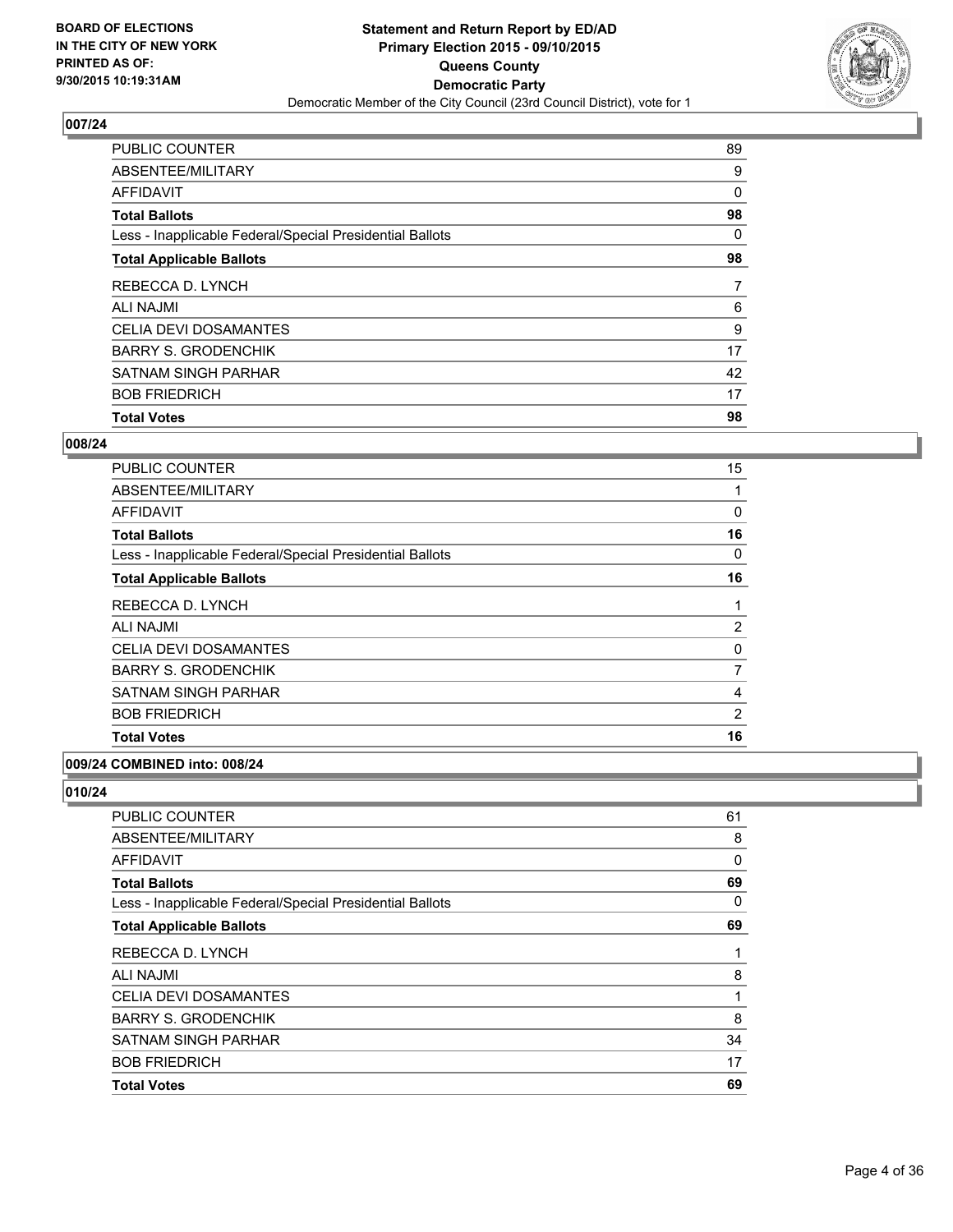

| <b>Total Votes</b>                                       | 98 |
|----------------------------------------------------------|----|
| <b>BOB FRIEDRICH</b>                                     | 17 |
| <b>SATNAM SINGH PARHAR</b>                               | 42 |
| <b>BARRY S. GRODENCHIK</b>                               | 17 |
| CELIA DEVI DOSAMANTES                                    | 9  |
| <b>ALI NAJMI</b>                                         | 6  |
| REBECCA D. LYNCH                                         | 7  |
| <b>Total Applicable Ballots</b>                          | 98 |
| Less - Inapplicable Federal/Special Presidential Ballots | 0  |
| <b>Total Ballots</b>                                     | 98 |
| <b>AFFIDAVIT</b>                                         | 0  |
| ABSENTEE/MILITARY                                        | 9  |
| <b>PUBLIC COUNTER</b>                                    | 89 |

#### **008/24**

| <b>PUBLIC COUNTER</b>                                    | 15 |
|----------------------------------------------------------|----|
| ABSENTEE/MILITARY                                        |    |
| AFFIDAVIT                                                | 0  |
| <b>Total Ballots</b>                                     | 16 |
| Less - Inapplicable Federal/Special Presidential Ballots | 0  |
| <b>Total Applicable Ballots</b>                          | 16 |
| REBECCA D. LYNCH                                         |    |
| <b>ALI NAJMI</b>                                         | 2  |
| <b>CELIA DEVI DOSAMANTES</b>                             | 0  |
| <b>BARRY S. GRODENCHIK</b>                               | 7  |
| SATNAM SINGH PARHAR                                      | 4  |
| <b>BOB FRIEDRICH</b>                                     | 2  |
| <b>Total Votes</b>                                       | 16 |

# **009/24 COMBINED into: 008/24**

| PUBLIC COUNTER                                           | 61 |
|----------------------------------------------------------|----|
| ABSENTEE/MILITARY                                        | 8  |
| AFFIDAVIT                                                | 0  |
| Total Ballots                                            | 69 |
| Less - Inapplicable Federal/Special Presidential Ballots | 0  |
| <b>Total Applicable Ballots</b>                          | 69 |
| REBECCA D. LYNCH                                         | 1  |
| ALI NAJMI                                                | 8  |
| CELIA DEVI DOSAMANTES                                    | 1  |
| BARRY S. GRODENCHIK                                      | 8  |
| SATNAM SINGH PARHAR                                      | 34 |
| <b>BOB FRIEDRICH</b>                                     | 17 |
| <b>Total Votes</b>                                       | 69 |
|                                                          |    |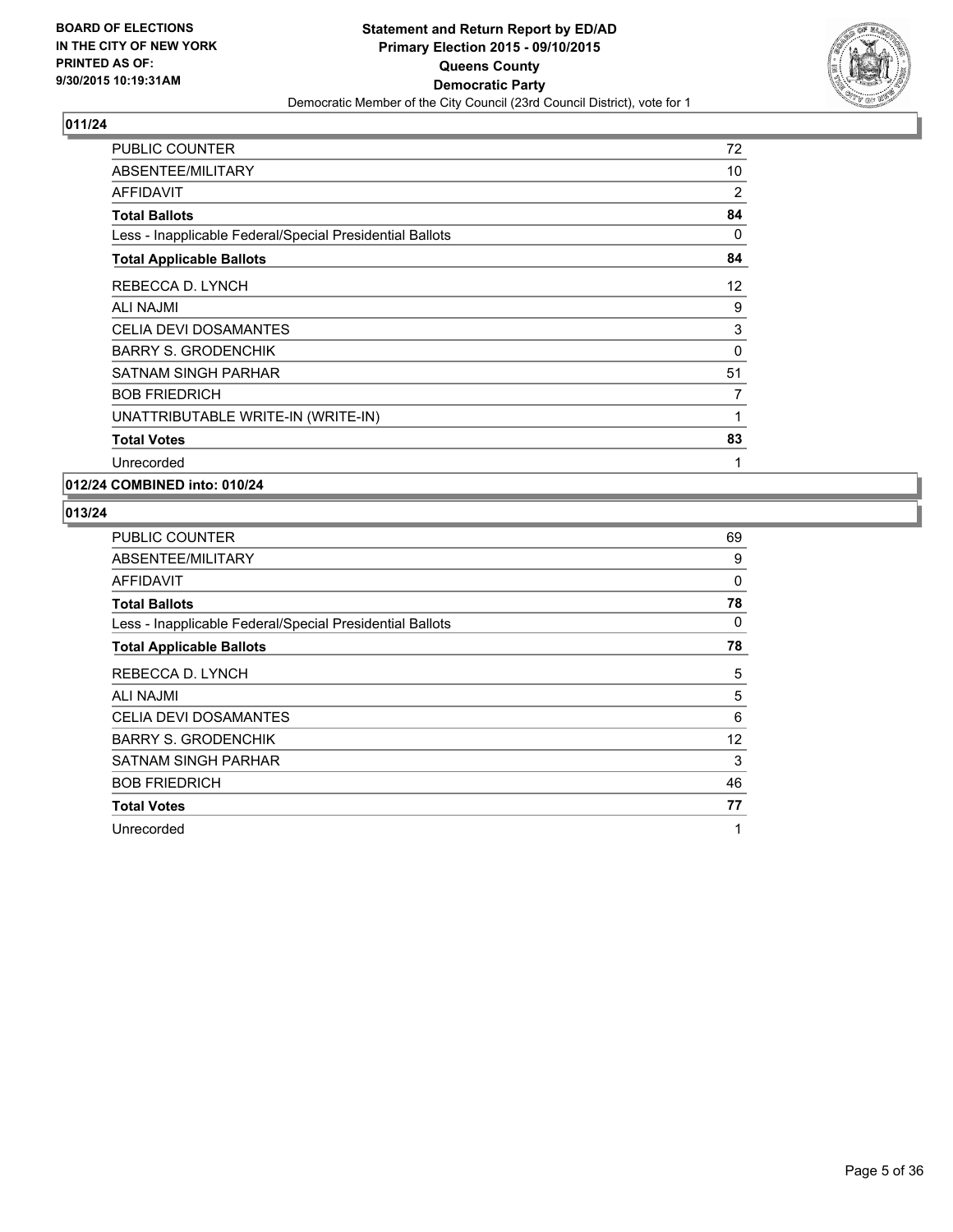

| <b>PUBLIC COUNTER</b>                                    | 72 |
|----------------------------------------------------------|----|
| ABSENTEE/MILITARY                                        | 10 |
| <b>AFFIDAVIT</b>                                         | 2  |
| <b>Total Ballots</b>                                     | 84 |
| Less - Inapplicable Federal/Special Presidential Ballots | 0  |
| <b>Total Applicable Ballots</b>                          | 84 |
| REBECCA D. LYNCH                                         | 12 |
| <b>ALI NAJMI</b>                                         | 9  |
| <b>CELIA DEVI DOSAMANTES</b>                             | 3  |
| <b>BARRY S. GRODENCHIK</b>                               | 0  |
| SATNAM SINGH PARHAR                                      | 51 |
| <b>BOB FRIEDRICH</b>                                     | 7  |
| UNATTRIBUTABLE WRITE-IN (WRITE-IN)                       | 1  |
| <b>Total Votes</b>                                       | 83 |
| Unrecorded                                               | 1  |

**012/24 COMBINED into: 010/24**

| <b>PUBLIC COUNTER</b>                                    | 69 |
|----------------------------------------------------------|----|
| ABSENTEE/MILITARY                                        | 9  |
| AFFIDAVIT                                                | 0  |
| <b>Total Ballots</b>                                     | 78 |
| Less - Inapplicable Federal/Special Presidential Ballots | 0  |
| <b>Total Applicable Ballots</b>                          | 78 |
| REBECCA D. LYNCH                                         | 5  |
| <b>ALI NAJMI</b>                                         | 5  |
| <b>CELIA DEVI DOSAMANTES</b>                             | 6  |
| <b>BARRY S. GRODENCHIK</b>                               | 12 |
| SATNAM SINGH PARHAR                                      | 3  |
| <b>BOB FRIEDRICH</b>                                     | 46 |
| <b>Total Votes</b>                                       | 77 |
| Unrecorded                                               | 1  |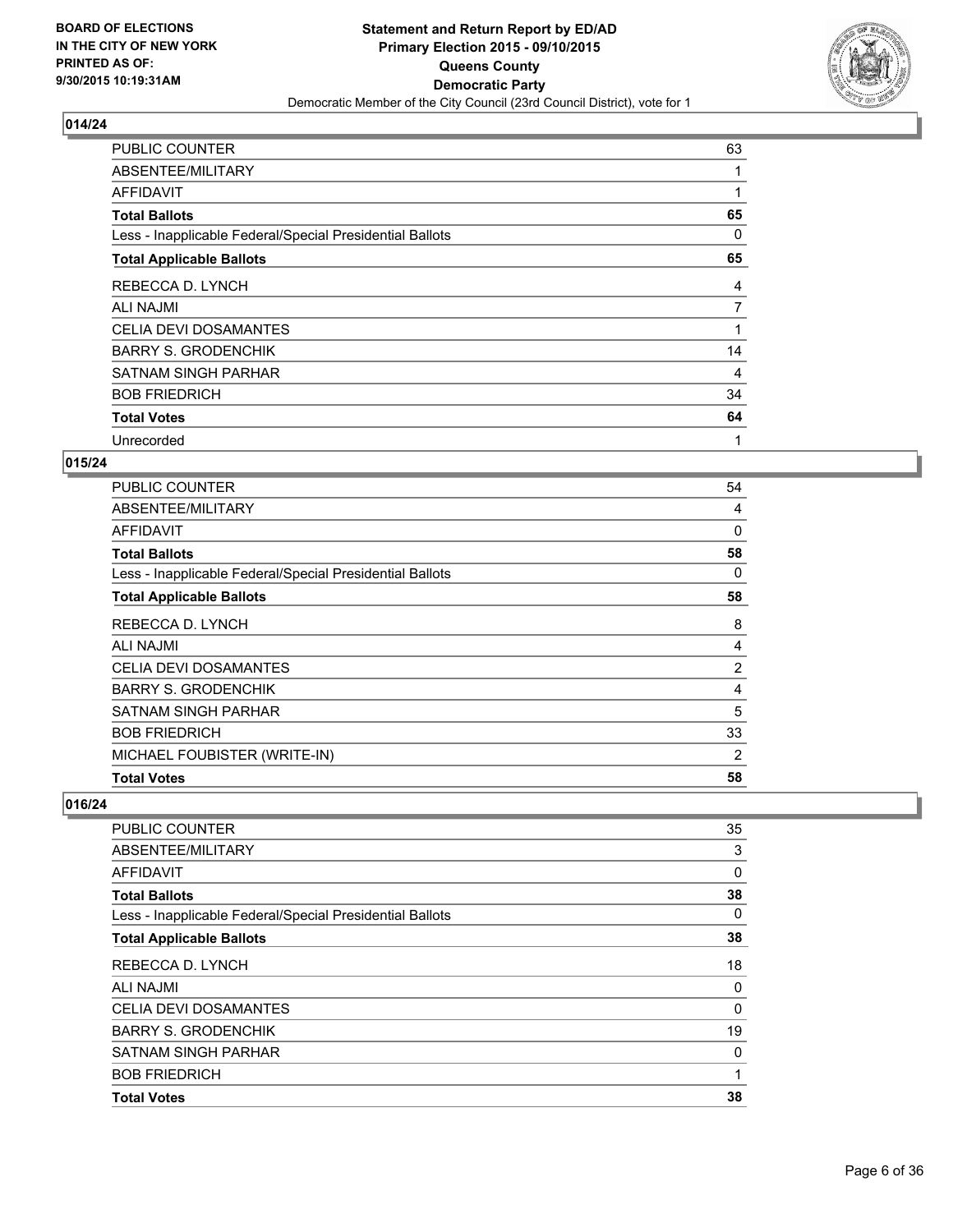

| PUBLIC COUNTER                                           | 63       |
|----------------------------------------------------------|----------|
| ABSENTEE/MILITARY                                        |          |
| AFFIDAVIT                                                |          |
| <b>Total Ballots</b>                                     | 65       |
| Less - Inapplicable Federal/Special Presidential Ballots | $\Omega$ |
| <b>Total Applicable Ballots</b>                          | 65       |
| REBECCA D. LYNCH                                         | 4        |
| <b>ALI NAJMI</b>                                         | 7        |
| <b>CELIA DEVI DOSAMANTES</b>                             | 1        |
| <b>BARRY S. GRODENCHIK</b>                               | 14       |
| SATNAM SINGH PARHAR                                      | 4        |
| <b>BOB FRIEDRICH</b>                                     | 34       |
| <b>Total Votes</b>                                       | 64       |
| Unrecorded                                               | 1        |

## **015/24**

| <b>PUBLIC COUNTER</b>                                    | 54             |
|----------------------------------------------------------|----------------|
| ABSENTEE/MILITARY                                        | 4              |
| AFFIDAVIT                                                | 0              |
| <b>Total Ballots</b>                                     | 58             |
| Less - Inapplicable Federal/Special Presidential Ballots | 0              |
| <b>Total Applicable Ballots</b>                          | 58             |
| REBECCA D. LYNCH                                         | 8              |
| <b>ALI NAJMI</b>                                         | 4              |
| <b>CELIA DEVI DOSAMANTES</b>                             | $\overline{2}$ |
| <b>BARRY S. GRODENCHIK</b>                               | 4              |
| SATNAM SINGH PARHAR                                      | 5              |
| <b>BOB FRIEDRICH</b>                                     | 33             |
| MICHAEL FOUBISTER (WRITE-IN)                             | 2              |
| <b>Total Votes</b>                                       | 58             |

| <b>PUBLIC COUNTER</b>                                    | 35 |
|----------------------------------------------------------|----|
| ABSENTEE/MILITARY                                        | 3  |
| AFFIDAVIT                                                | 0  |
| <b>Total Ballots</b>                                     | 38 |
| Less - Inapplicable Federal/Special Presidential Ballots | 0  |
| <b>Total Applicable Ballots</b>                          | 38 |
| REBECCA D. LYNCH                                         | 18 |
| <b>ALI NAJMI</b>                                         | 0  |
| <b>CELIA DEVI DOSAMANTES</b>                             | 0  |
| <b>BARRY S. GRODENCHIK</b>                               | 19 |
| <b>SATNAM SINGH PARHAR</b>                               | 0  |
| <b>BOB FRIEDRICH</b>                                     | 1  |
| <b>Total Votes</b>                                       | 38 |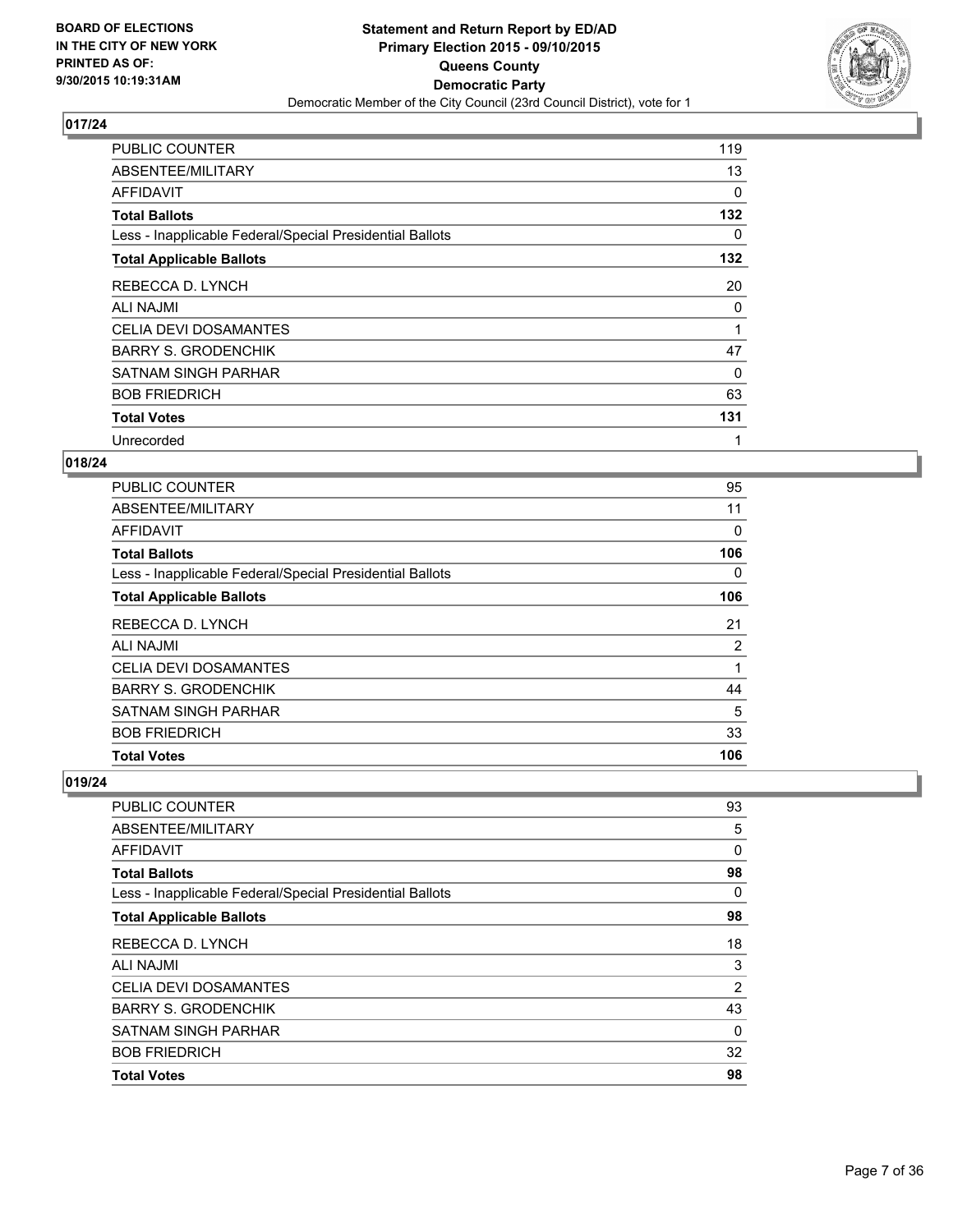

| PUBLIC COUNTER                                           | 119      |
|----------------------------------------------------------|----------|
| ABSENTEE/MILITARY                                        | 13       |
| AFFIDAVIT                                                | $\Omega$ |
| <b>Total Ballots</b>                                     | 132      |
| Less - Inapplicable Federal/Special Presidential Ballots | 0        |
| <b>Total Applicable Ballots</b>                          | 132      |
| REBECCA D. LYNCH                                         | 20       |
| ALI NAJMI                                                | 0        |
| <b>CELIA DEVI DOSAMANTES</b>                             | 1        |
| <b>BARRY S. GRODENCHIK</b>                               | 47       |
| SATNAM SINGH PARHAR                                      | 0        |
| <b>BOB FRIEDRICH</b>                                     | 63       |
| <b>Total Votes</b>                                       | 131      |
| Unrecorded                                               | 1        |

## **018/24**

| <b>PUBLIC COUNTER</b>                                    | 95  |
|----------------------------------------------------------|-----|
| ABSENTEE/MILITARY                                        | 11  |
| AFFIDAVIT                                                | 0   |
| <b>Total Ballots</b>                                     | 106 |
| Less - Inapplicable Federal/Special Presidential Ballots | 0   |
| <b>Total Applicable Ballots</b>                          | 106 |
| REBECCA D. LYNCH                                         | 21  |
| <b>ALI NAJMI</b>                                         | 2   |
| <b>CELIA DEVI DOSAMANTES</b>                             | 1   |
| <b>BARRY S. GRODENCHIK</b>                               | 44  |
| SATNAM SINGH PARHAR                                      | 5   |
| <b>BOB FRIEDRICH</b>                                     | 33  |
| <b>Total Votes</b>                                       | 106 |

| <b>PUBLIC COUNTER</b>                                    | 93             |
|----------------------------------------------------------|----------------|
| ABSENTEE/MILITARY                                        | 5              |
| AFFIDAVIT                                                | 0              |
| <b>Total Ballots</b>                                     | 98             |
| Less - Inapplicable Federal/Special Presidential Ballots | 0              |
| <b>Total Applicable Ballots</b>                          | 98             |
| REBECCA D. LYNCH                                         | 18             |
| <b>ALI NAJMI</b>                                         | 3              |
| <b>CELIA DEVI DOSAMANTES</b>                             | $\overline{2}$ |
| <b>BARRY S. GRODENCHIK</b>                               | 43             |
| <b>SATNAM SINGH PARHAR</b>                               | 0              |
| <b>BOB FRIEDRICH</b>                                     | 32             |
| <b>Total Votes</b>                                       | 98             |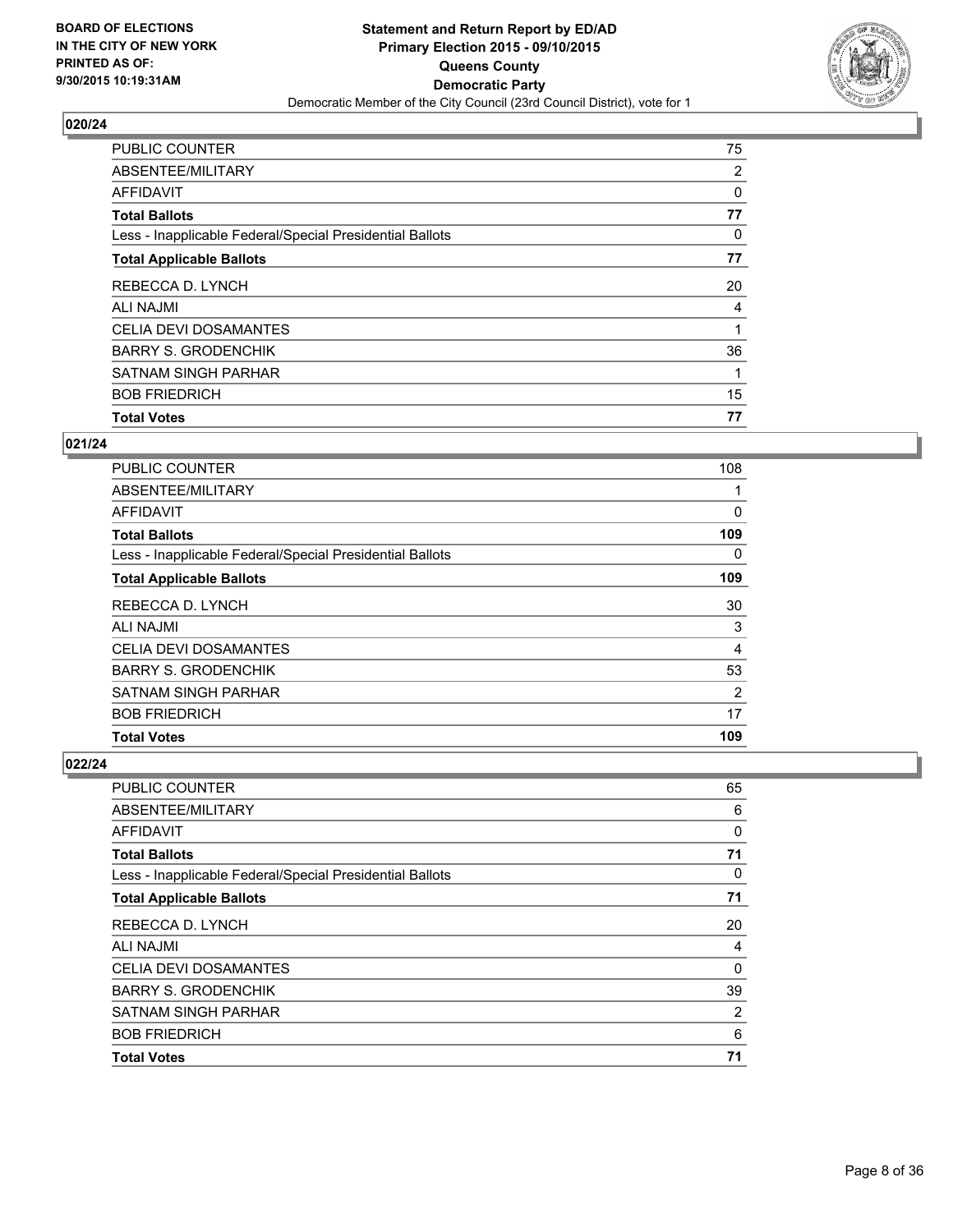

| <b>Total Votes</b>                                       | 77             |
|----------------------------------------------------------|----------------|
| <b>BOB FRIEDRICH</b>                                     | 15             |
| SATNAM SINGH PARHAR                                      |                |
| <b>BARRY S. GRODENCHIK</b>                               | 36             |
| <b>CELIA DEVI DOSAMANTES</b>                             |                |
| <b>ALI NAJMI</b>                                         | 4              |
| REBECCA D. LYNCH                                         | 20             |
| <b>Total Applicable Ballots</b>                          | 77             |
| Less - Inapplicable Federal/Special Presidential Ballots | 0              |
| <b>Total Ballots</b>                                     | 77             |
| <b>AFFIDAVIT</b>                                         | 0              |
| ABSENTEE/MILITARY                                        | $\overline{2}$ |
| <b>PUBLIC COUNTER</b>                                    | 75             |

#### **021/24**

| <b>Total Votes</b>                                       | 109 |
|----------------------------------------------------------|-----|
| <b>BOB FRIEDRICH</b>                                     | 17  |
| <b>SATNAM SINGH PARHAR</b>                               | 2   |
| <b>BARRY S. GRODENCHIK</b>                               | 53  |
| <b>CELIA DEVI DOSAMANTES</b>                             | 4   |
| <b>ALI NAJMI</b>                                         | 3   |
| REBECCA D. LYNCH                                         | 30  |
| <b>Total Applicable Ballots</b>                          | 109 |
| Less - Inapplicable Federal/Special Presidential Ballots | 0   |
| <b>Total Ballots</b>                                     | 109 |
| <b>AFFIDAVIT</b>                                         | 0   |
| ABSENTEE/MILITARY                                        |     |
| <b>PUBLIC COUNTER</b>                                    | 108 |

| PUBLIC COUNTER                                           | 65 |
|----------------------------------------------------------|----|
| ABSENTEE/MILITARY                                        | 6  |
| AFFIDAVIT                                                | 0  |
| <b>Total Ballots</b>                                     | 71 |
| Less - Inapplicable Federal/Special Presidential Ballots | 0  |
| <b>Total Applicable Ballots</b>                          | 71 |
| REBECCA D. LYNCH                                         | 20 |
| <b>ALI NAJMI</b>                                         | 4  |
| <b>CELIA DEVI DOSAMANTES</b>                             | 0  |
| <b>BARRY S. GRODENCHIK</b>                               | 39 |
| <b>SATNAM SINGH PARHAR</b>                               | 2  |
| <b>BOB FRIEDRICH</b>                                     | 6  |
| <b>Total Votes</b>                                       | 71 |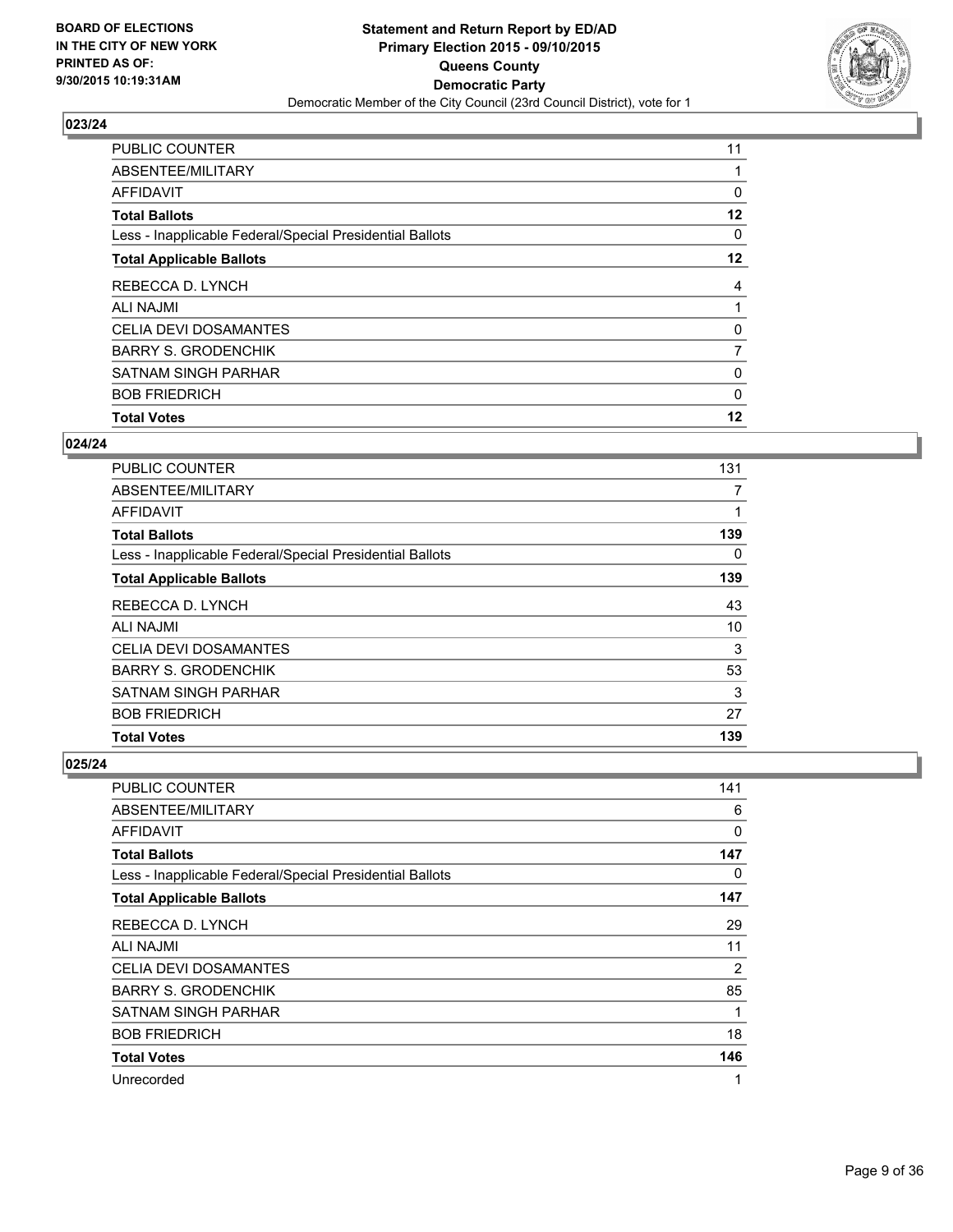

| <b>Total Votes</b>                                       | 12             |
|----------------------------------------------------------|----------------|
| <b>BOB FRIEDRICH</b>                                     | $\mathbf{0}$   |
| <b>SATNAM SINGH PARHAR</b>                               | 0              |
| <b>BARRY S. GRODENCHIK</b>                               | $\overline{7}$ |
| <b>CELIA DEVI DOSAMANTES</b>                             | 0              |
| <b>ALI NAJMI</b>                                         |                |
| REBECCA D. LYNCH                                         | 4              |
| <b>Total Applicable Ballots</b>                          | $12 \,$        |
| Less - Inapplicable Federal/Special Presidential Ballots | 0              |
| <b>Total Ballots</b>                                     | $12 \,$        |
| <b>AFFIDAVIT</b>                                         | 0              |
| ABSENTEE/MILITARY                                        |                |
| <b>PUBLIC COUNTER</b>                                    | 11             |

#### **024/24**

| <b>PUBLIC COUNTER</b>                                    | 131 |
|----------------------------------------------------------|-----|
| ABSENTEE/MILITARY                                        | 7   |
| AFFIDAVIT                                                | 1   |
| <b>Total Ballots</b>                                     | 139 |
| Less - Inapplicable Federal/Special Presidential Ballots | 0   |
| <b>Total Applicable Ballots</b>                          | 139 |
| REBECCA D. LYNCH                                         | 43  |
| ALI NAJMI                                                | 10  |
| <b>CELIA DEVI DOSAMANTES</b>                             | 3   |
| <b>BARRY S. GRODENCHIK</b>                               | 53  |
| <b>SATNAM SINGH PARHAR</b>                               | 3   |
| <b>BOB FRIEDRICH</b>                                     | 27  |
| <b>Total Votes</b>                                       | 139 |

| PUBLIC COUNTER                                           | 141 |
|----------------------------------------------------------|-----|
| ABSENTEE/MILITARY                                        | 6   |
| AFFIDAVIT                                                | 0   |
| <b>Total Ballots</b>                                     | 147 |
| Less - Inapplicable Federal/Special Presidential Ballots | 0   |
| <b>Total Applicable Ballots</b>                          | 147 |
| REBECCA D. LYNCH                                         | 29  |
| <b>ALI NAJMI</b>                                         | 11  |
| <b>CELIA DEVI DOSAMANTES</b>                             | 2   |
| <b>BARRY S. GRODENCHIK</b>                               | 85  |
| <b>SATNAM SINGH PARHAR</b>                               | 1   |
| <b>BOB FRIEDRICH</b>                                     | 18  |
| <b>Total Votes</b>                                       | 146 |
| Unrecorded                                               | 1   |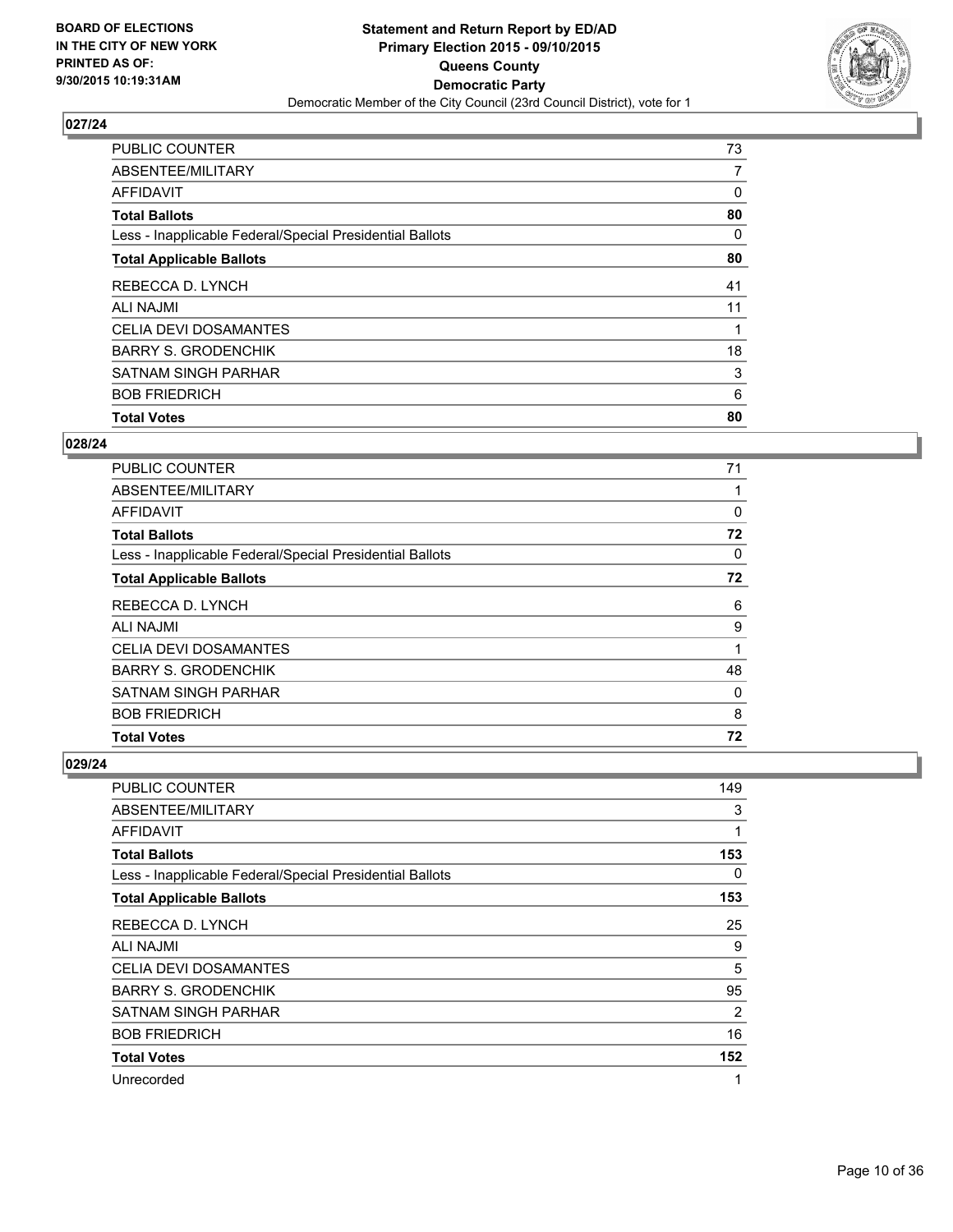

| <b>Total Votes</b>                                       | 80 |
|----------------------------------------------------------|----|
| <b>BOB FRIEDRICH</b>                                     | 6  |
| <b>SATNAM SINGH PARHAR</b>                               | 3  |
| <b>BARRY S. GRODENCHIK</b>                               | 18 |
| <b>CELIA DEVI DOSAMANTES</b>                             |    |
| <b>ALI NAJMI</b>                                         | 11 |
| REBECCA D. LYNCH                                         | 41 |
| <b>Total Applicable Ballots</b>                          | 80 |
| Less - Inapplicable Federal/Special Presidential Ballots | 0  |
| <b>Total Ballots</b>                                     | 80 |
| <b>AFFIDAVIT</b>                                         | 0  |
| ABSENTEE/MILITARY                                        | 7  |
| <b>PUBLIC COUNTER</b>                                    | 73 |

#### **028/24**

| PUBLIC COUNTER                                           | 71       |
|----------------------------------------------------------|----------|
| ABSENTEE/MILITARY                                        |          |
| <b>AFFIDAVIT</b>                                         | $\Omega$ |
| <b>Total Ballots</b>                                     | 72       |
| Less - Inapplicable Federal/Special Presidential Ballots | 0        |
| <b>Total Applicable Ballots</b>                          | 72       |
| REBECCA D. LYNCH                                         | 6        |
| <b>ALI NAJMI</b>                                         | 9        |
| <b>CELIA DEVI DOSAMANTES</b>                             | 1        |
| <b>BARRY S. GRODENCHIK</b>                               | 48       |
| <b>SATNAM SINGH PARHAR</b>                               | 0        |
| <b>BOB FRIEDRICH</b>                                     | 8        |
| <b>Total Votes</b>                                       | 72       |

| PUBLIC COUNTER                                           | 149 |
|----------------------------------------------------------|-----|
| ABSENTEE/MILITARY                                        | 3   |
| AFFIDAVIT                                                | 1   |
| <b>Total Ballots</b>                                     | 153 |
| Less - Inapplicable Federal/Special Presidential Ballots | 0   |
| <b>Total Applicable Ballots</b>                          | 153 |
| REBECCA D. LYNCH                                         | 25  |
| <b>ALI NAJMI</b>                                         | 9   |
| <b>CELIA DEVI DOSAMANTES</b>                             | 5   |
| <b>BARRY S. GRODENCHIK</b>                               | 95  |
| SATNAM SINGH PARHAR                                      | 2   |
| <b>BOB FRIEDRICH</b>                                     | 16  |
| <b>Total Votes</b>                                       | 152 |
| Unrecorded                                               | 1   |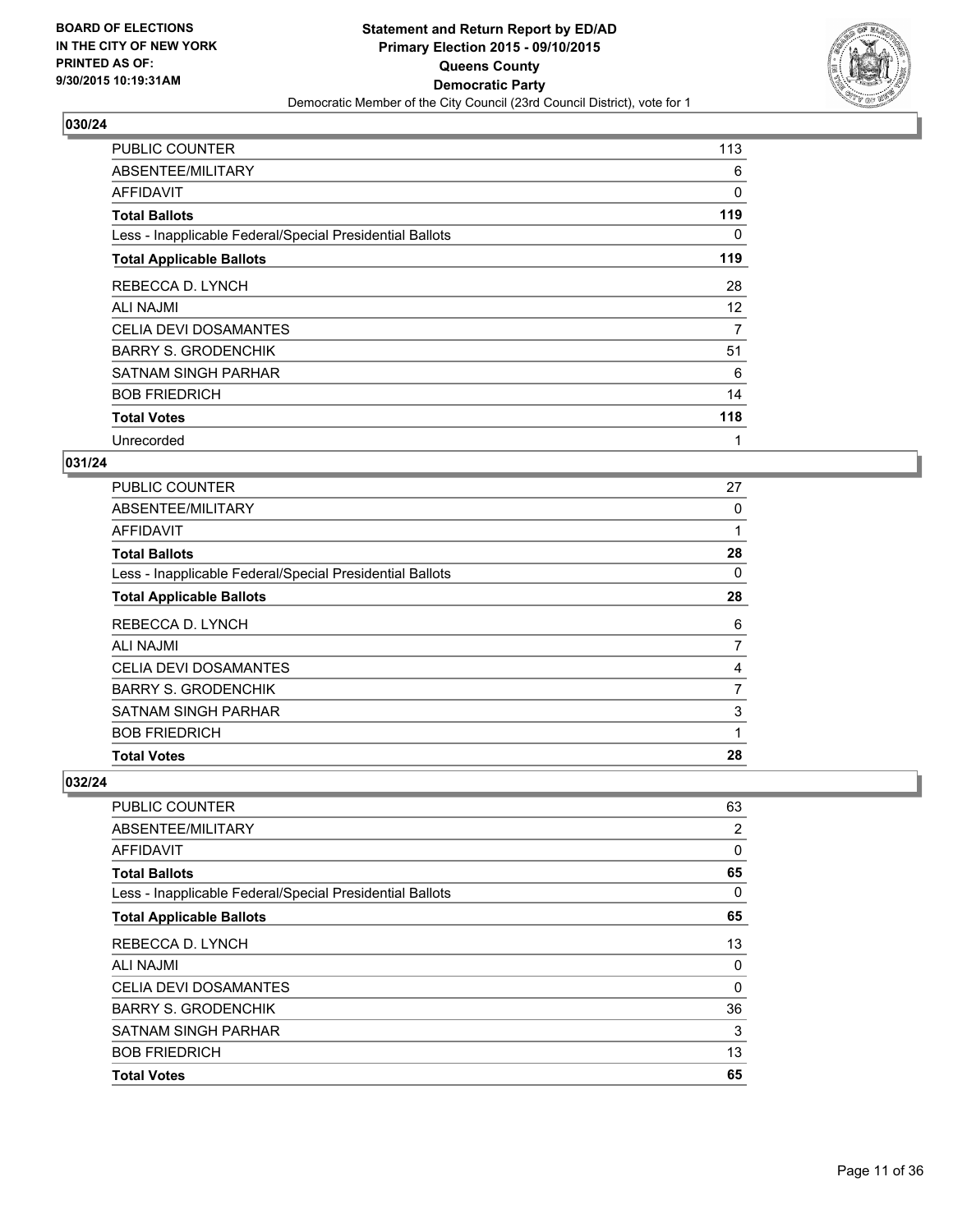

| <b>PUBLIC COUNTER</b>                                    | 113      |
|----------------------------------------------------------|----------|
| ABSENTEE/MILITARY                                        | 6        |
| AFFIDAVIT                                                | $\Omega$ |
| <b>Total Ballots</b>                                     | 119      |
| Less - Inapplicable Federal/Special Presidential Ballots | 0        |
| <b>Total Applicable Ballots</b>                          | 119      |
| REBECCA D. LYNCH                                         | 28       |
| <b>ALI NAJMI</b>                                         | 12       |
| <b>CELIA DEVI DOSAMANTES</b>                             | 7        |
| <b>BARRY S. GRODENCHIK</b>                               | 51       |
| SATNAM SINGH PARHAR                                      | 6        |
| <b>BOB FRIEDRICH</b>                                     | 14       |
| <b>Total Votes</b>                                       | 118      |
| Unrecorded                                               | 1        |

## **031/24**

| <b>PUBLIC COUNTER</b>                                    | 27 |
|----------------------------------------------------------|----|
| ABSENTEE/MILITARY                                        | 0  |
| <b>AFFIDAVIT</b>                                         | 1  |
| <b>Total Ballots</b>                                     | 28 |
| Less - Inapplicable Federal/Special Presidential Ballots | 0  |
| <b>Total Applicable Ballots</b>                          | 28 |
| REBECCA D. LYNCH                                         | 6  |
| ALI NAJMI                                                | 7  |
| <b>CELIA DEVI DOSAMANTES</b>                             | 4  |
| <b>BARRY S. GRODENCHIK</b>                               | 7  |
| <b>SATNAM SINGH PARHAR</b>                               | 3  |
| <b>BOB FRIEDRICH</b>                                     | 1  |
| <b>Total Votes</b>                                       | 28 |

| <b>PUBLIC COUNTER</b>                                    | 63 |
|----------------------------------------------------------|----|
| ABSENTEE/MILITARY                                        | 2  |
| AFFIDAVIT                                                | 0  |
| <b>Total Ballots</b>                                     | 65 |
| Less - Inapplicable Federal/Special Presidential Ballots | 0  |
| <b>Total Applicable Ballots</b>                          | 65 |
| REBECCA D. LYNCH                                         | 13 |
| <b>ALI NAJMI</b>                                         | 0  |
| <b>CELIA DEVI DOSAMANTES</b>                             | 0  |
| <b>BARRY S. GRODENCHIK</b>                               | 36 |
| <b>SATNAM SINGH PARHAR</b>                               | 3  |
| <b>BOB FRIEDRICH</b>                                     | 13 |
| <b>Total Votes</b>                                       | 65 |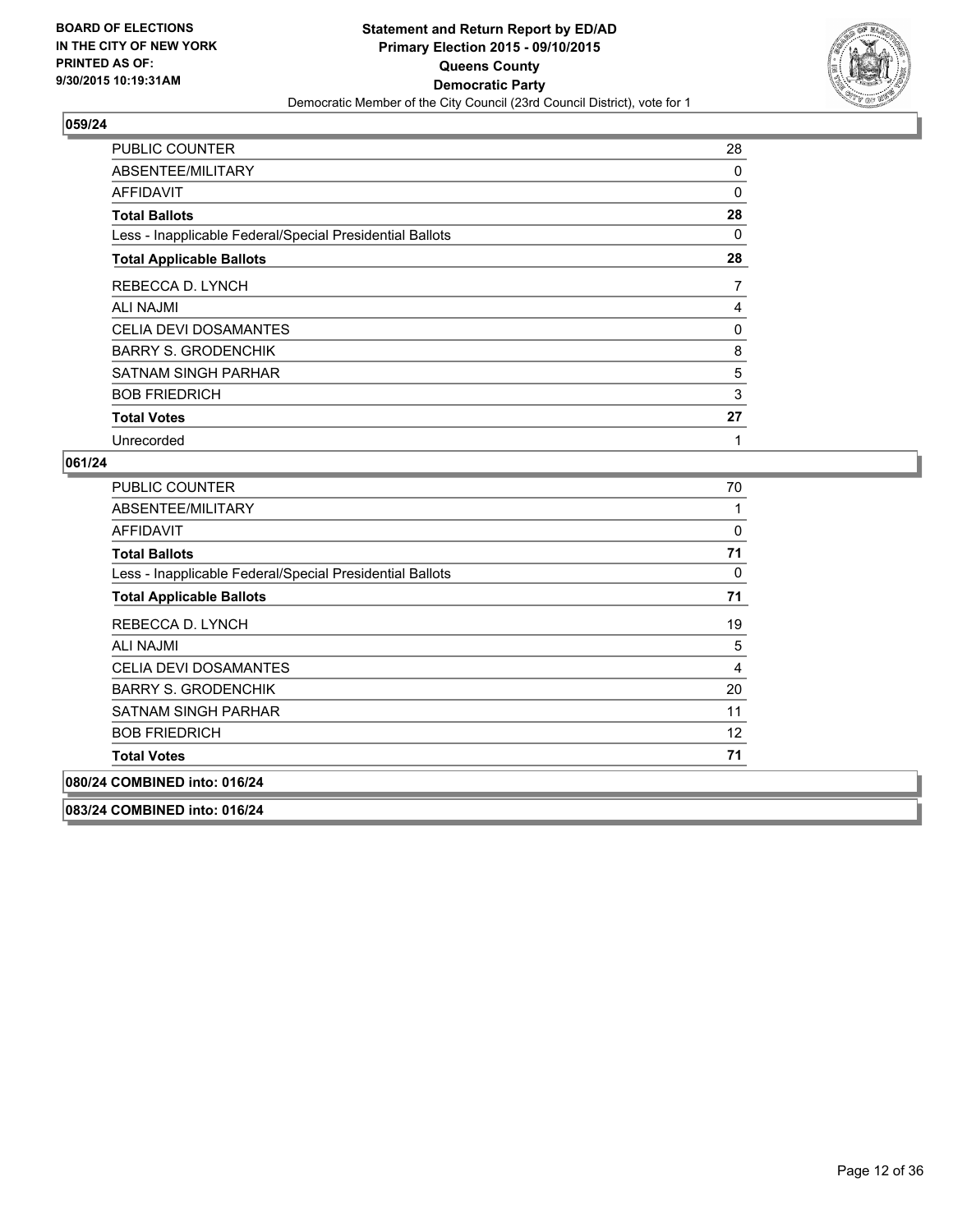

| PUBLIC COUNTER                                           | 28             |
|----------------------------------------------------------|----------------|
| ABSENTEE/MILITARY                                        | 0              |
| AFFIDAVIT                                                | 0              |
| <b>Total Ballots</b>                                     | 28             |
| Less - Inapplicable Federal/Special Presidential Ballots | 0              |
| <b>Total Applicable Ballots</b>                          | 28             |
| REBECCA D. LYNCH                                         | $\overline{7}$ |
| <b>ALI NAJMI</b>                                         | 4              |
| <b>CELIA DEVI DOSAMANTES</b>                             | 0              |
| <b>BARRY S. GRODENCHIK</b>                               | 8              |
| SATNAM SINGH PARHAR                                      | 5              |
| <b>BOB FRIEDRICH</b>                                     | 3              |
| <b>Total Votes</b>                                       | 27             |
| Unrecorded                                               | 1              |

## **061/24**

| <b>PUBLIC COUNTER</b>                                    | 70 |
|----------------------------------------------------------|----|
| ABSENTEE/MILITARY                                        |    |
| <b>AFFIDAVIT</b>                                         | 0  |
| <b>Total Ballots</b>                                     | 71 |
| Less - Inapplicable Federal/Special Presidential Ballots | 0  |
| <b>Total Applicable Ballots</b>                          | 71 |
| REBECCA D. LYNCH                                         | 19 |
| ALI NAJMI                                                | 5  |
| <b>CELIA DEVI DOSAMANTES</b>                             | 4  |
| <b>BARRY S. GRODENCHIK</b>                               | 20 |
| SATNAM SINGH PARHAR                                      | 11 |
| <b>BOB FRIEDRICH</b>                                     | 12 |
| <b>Total Votes</b>                                       | 71 |
| 080/24 COMBINED into: 016/24                             |    |

**083/24 COMBINED into: 016/24**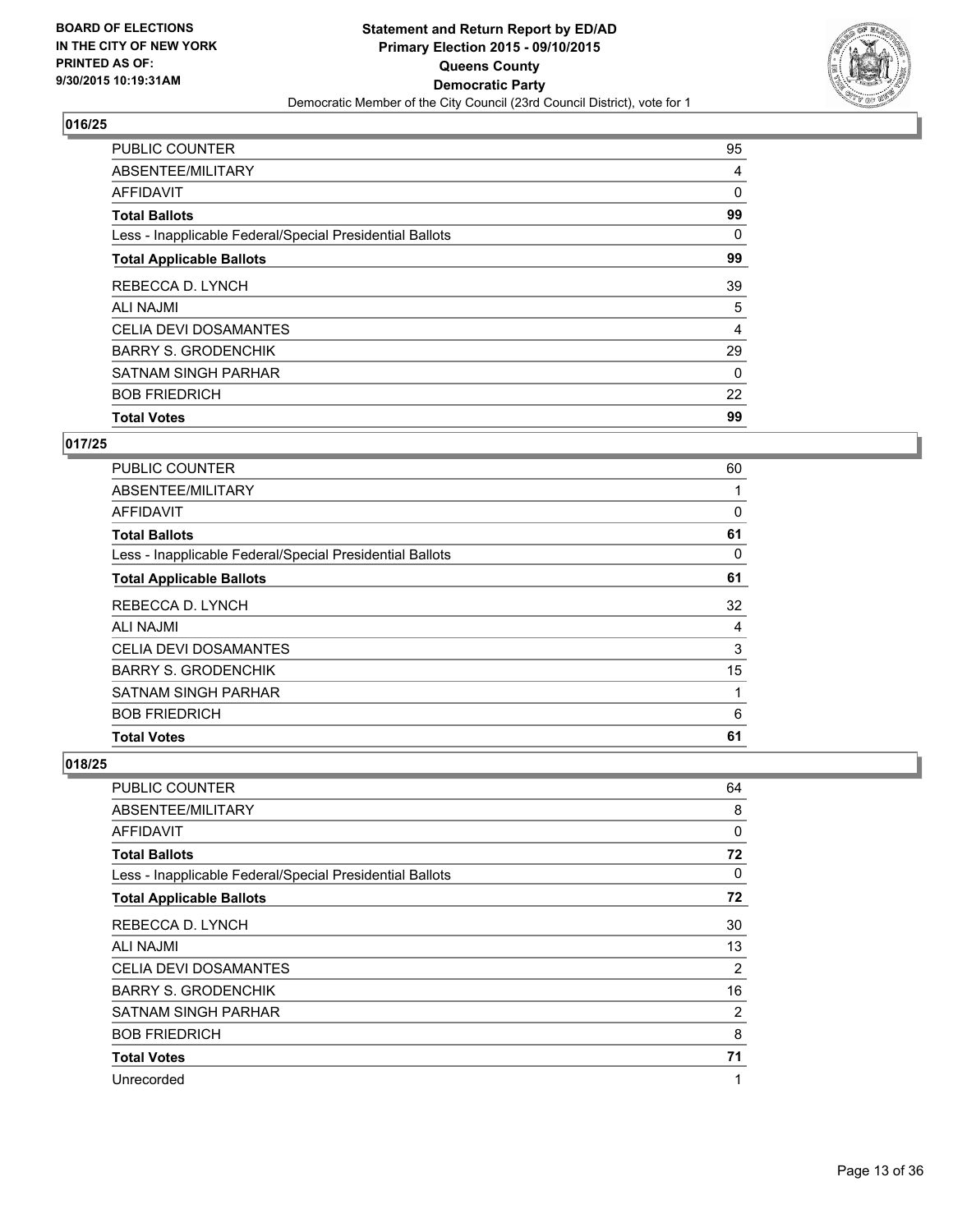

| <b>Total Votes</b>                                       | 99 |
|----------------------------------------------------------|----|
| <b>BOB FRIEDRICH</b>                                     | 22 |
| <b>SATNAM SINGH PARHAR</b>                               | 0  |
| <b>BARRY S. GRODENCHIK</b>                               | 29 |
| CELIA DEVI DOSAMANTES                                    | 4  |
| <b>ALI NAJMI</b>                                         | 5  |
| REBECCA D. LYNCH                                         | 39 |
| <b>Total Applicable Ballots</b>                          | 99 |
| Less - Inapplicable Federal/Special Presidential Ballots | 0  |
| <b>Total Ballots</b>                                     | 99 |
| <b>AFFIDAVIT</b>                                         | 0  |
| ABSENTEE/MILITARY                                        | 4  |
| PUBLIC COUNTER                                           | 95 |

#### **017/25**

| <b>Total Votes</b>                                       | 61 |
|----------------------------------------------------------|----|
|                                                          |    |
| <b>BOB FRIEDRICH</b>                                     | 6  |
| <b>SATNAM SINGH PARHAR</b>                               | 1  |
| <b>BARRY S. GRODENCHIK</b>                               | 15 |
| <b>CELIA DEVI DOSAMANTES</b>                             | 3  |
| <b>ALI NAJMI</b>                                         | 4  |
| REBECCA D. LYNCH                                         | 32 |
| <b>Total Applicable Ballots</b>                          | 61 |
| Less - Inapplicable Federal/Special Presidential Ballots | 0  |
| <b>Total Ballots</b>                                     | 61 |
| AFFIDAVIT                                                | 0  |
| ABSENTEE/MILITARY                                        |    |
| <b>PUBLIC COUNTER</b>                                    | 60 |

| <b>PUBLIC COUNTER</b>                                    | 64 |
|----------------------------------------------------------|----|
| ABSENTEE/MILITARY                                        | 8  |
| AFFIDAVIT                                                | 0  |
| <b>Total Ballots</b>                                     | 72 |
| Less - Inapplicable Federal/Special Presidential Ballots | 0  |
| <b>Total Applicable Ballots</b>                          | 72 |
| REBECCA D. LYNCH                                         | 30 |
| ALI NAJMI                                                | 13 |
| CELIA DEVI DOSAMANTES                                    | 2  |
| <b>BARRY S. GRODENCHIK</b>                               | 16 |
| <b>SATNAM SINGH PARHAR</b>                               | 2  |
| <b>BOB FRIEDRICH</b>                                     | 8  |
| <b>Total Votes</b>                                       | 71 |
| Unrecorded                                               | 1  |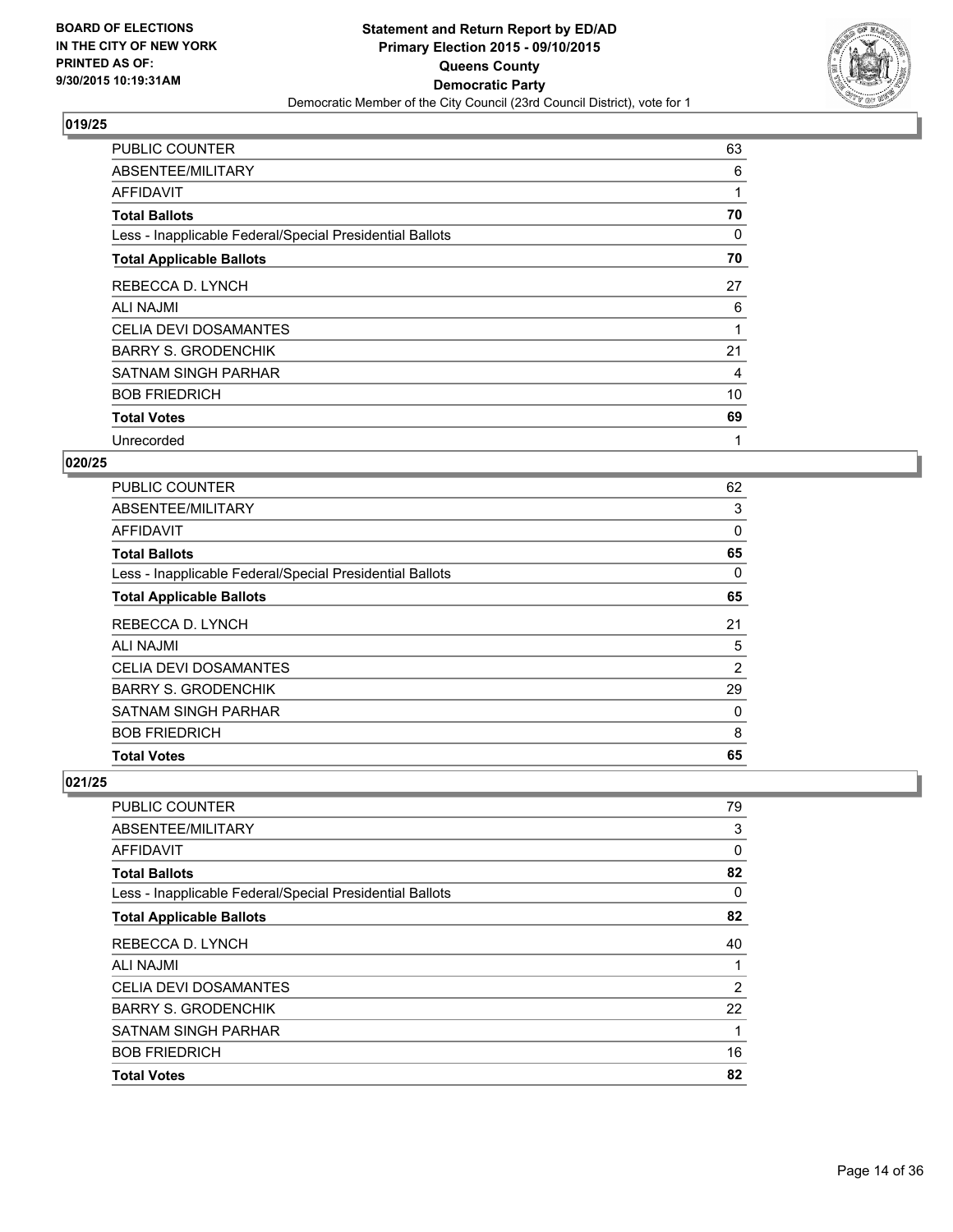

| <b>PUBLIC COUNTER</b>                                    | 63 |
|----------------------------------------------------------|----|
| ABSENTEE/MILITARY                                        | 6  |
| <b>AFFIDAVIT</b>                                         |    |
| <b>Total Ballots</b>                                     | 70 |
| Less - Inapplicable Federal/Special Presidential Ballots | 0  |
| <b>Total Applicable Ballots</b>                          | 70 |
| REBECCA D. LYNCH                                         | 27 |
| <b>ALI NAJMI</b>                                         | 6  |
| <b>CELIA DEVI DOSAMANTES</b>                             |    |
| <b>BARRY S. GRODENCHIK</b>                               | 21 |
| <b>SATNAM SINGH PARHAR</b>                               | 4  |
| <b>BOB FRIEDRICH</b>                                     | 10 |
| <b>Total Votes</b>                                       | 69 |
| Unrecorded                                               | 1  |

## **020/25**

| <b>PUBLIC COUNTER</b>                                    | 62 |
|----------------------------------------------------------|----|
| ABSENTEE/MILITARY                                        | 3  |
| AFFIDAVIT                                                | 0  |
| <b>Total Ballots</b>                                     | 65 |
| Less - Inapplicable Federal/Special Presidential Ballots | 0  |
| <b>Total Applicable Ballots</b>                          | 65 |
| REBECCA D. LYNCH                                         | 21 |
| ALI NAJMI                                                | 5  |
| <b>CELIA DEVI DOSAMANTES</b>                             | 2  |
| <b>BARRY S. GRODENCHIK</b>                               | 29 |
| <b>SATNAM SINGH PARHAR</b>                               | 0  |
| <b>BOB FRIEDRICH</b>                                     | 8  |
| <b>Total Votes</b>                                       | 65 |

| PUBLIC COUNTER                                           | 79 |
|----------------------------------------------------------|----|
| ABSENTEE/MILITARY                                        | 3  |
| <b>AFFIDAVIT</b>                                         | 0  |
| <b>Total Ballots</b>                                     | 82 |
| Less - Inapplicable Federal/Special Presidential Ballots | 0  |
| <b>Total Applicable Ballots</b>                          | 82 |
| REBECCA D. LYNCH                                         | 40 |
| ALI NAJMI                                                | 1  |
| <b>CELIA DEVI DOSAMANTES</b>                             | 2  |
| <b>BARRY S. GRODENCHIK</b>                               | 22 |
| <b>SATNAM SINGH PARHAR</b>                               | 1  |
| <b>BOB FRIEDRICH</b>                                     | 16 |
| <b>Total Votes</b>                                       | 82 |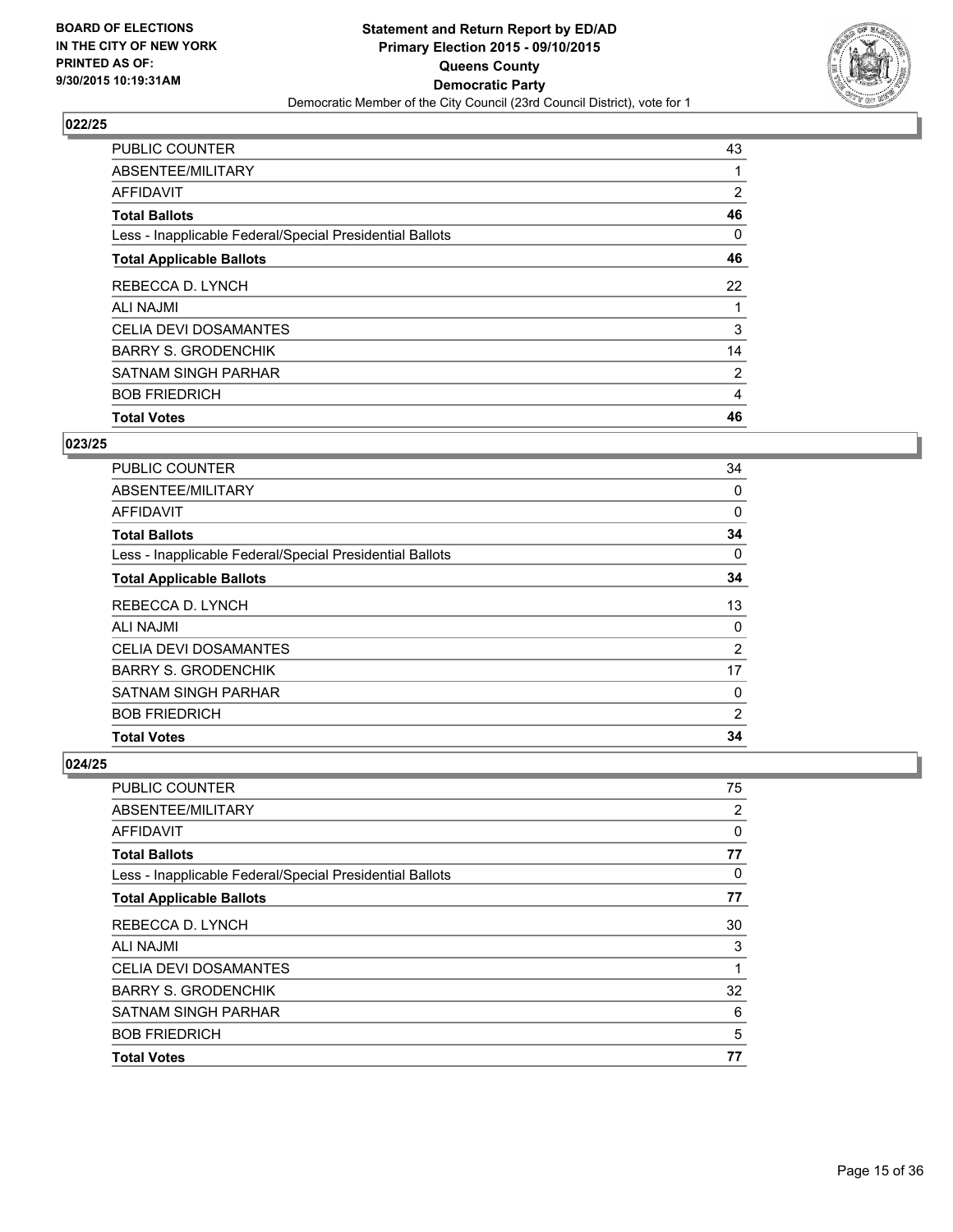

| <b>Total Votes</b>                                       |                |
|----------------------------------------------------------|----------------|
|                                                          | 46             |
| <b>BOB FRIEDRICH</b>                                     | 4              |
| <b>SATNAM SINGH PARHAR</b>                               | $\overline{2}$ |
| <b>BARRY S. GRODENCHIK</b>                               | 14             |
| <b>CELIA DEVI DOSAMANTES</b>                             | 3              |
| ALI NAJMI                                                |                |
| REBECCA D. LYNCH                                         | 22             |
| <b>Total Applicable Ballots</b>                          | 46             |
| Less - Inapplicable Federal/Special Presidential Ballots | 0              |
| <b>Total Ballots</b>                                     | 46             |
| <b>AFFIDAVIT</b>                                         | $\overline{2}$ |
| ABSENTEE/MILITARY                                        |                |
| PUBLIC COUNTER                                           | 43             |

#### **023/25**

| <b>Total Votes</b>                                       | 34             |
|----------------------------------------------------------|----------------|
|                                                          |                |
| <b>BOB FRIEDRICH</b>                                     | $\overline{2}$ |
| <b>SATNAM SINGH PARHAR</b>                               | 0              |
| <b>BARRY S. GRODENCHIK</b>                               | 17             |
| <b>CELIA DEVI DOSAMANTES</b>                             | $\overline{2}$ |
| <b>ALI NAJMI</b>                                         | 0              |
| REBECCA D. LYNCH                                         | 13             |
| <b>Total Applicable Ballots</b>                          | 34             |
| Less - Inapplicable Federal/Special Presidential Ballots | 0              |
| <b>Total Ballots</b>                                     | 34             |
| AFFIDAVIT                                                | $\Omega$       |
| ABSENTEE/MILITARY                                        | 0              |
| <b>PUBLIC COUNTER</b>                                    | 34             |

| PUBLIC COUNTER                                           | 75 |
|----------------------------------------------------------|----|
| ABSENTEE/MILITARY                                        | 2  |
| AFFIDAVIT                                                | 0  |
| <b>Total Ballots</b>                                     | 77 |
| Less - Inapplicable Federal/Special Presidential Ballots | 0  |
| <b>Total Applicable Ballots</b>                          | 77 |
| REBECCA D. LYNCH                                         | 30 |
| <b>ALI NAJMI</b>                                         | 3  |
| <b>CELIA DEVI DOSAMANTES</b>                             | 1  |
| <b>BARRY S. GRODENCHIK</b>                               | 32 |
| <b>SATNAM SINGH PARHAR</b>                               | 6  |
| <b>BOB FRIEDRICH</b>                                     | 5  |
| <b>Total Votes</b>                                       | 77 |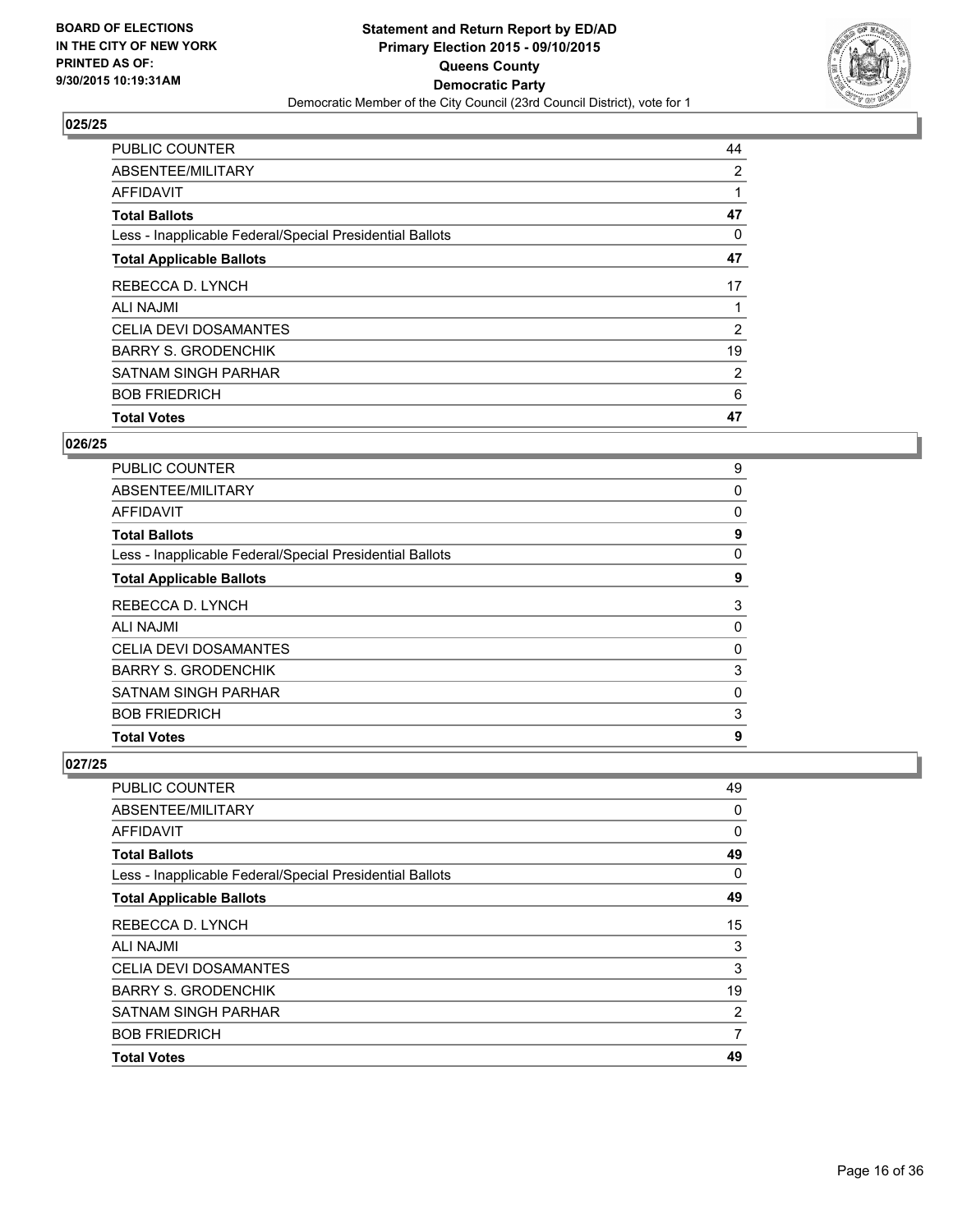

| <b>PUBLIC COUNTER</b>                                    | 44             |
|----------------------------------------------------------|----------------|
| ABSENTEE/MILITARY                                        | 2              |
| <b>AFFIDAVIT</b>                                         |                |
| <b>Total Ballots</b>                                     | 47             |
| Less - Inapplicable Federal/Special Presidential Ballots | 0              |
| <b>Total Applicable Ballots</b>                          | 47             |
| REBECCA D. LYNCH                                         | 17             |
| <b>ALI NAJMI</b>                                         |                |
| CELIA DEVI DOSAMANTES                                    | 2              |
| <b>BARRY S. GRODENCHIK</b>                               | 19             |
| SATNAM SINGH PARHAR                                      | $\overline{2}$ |
| <b>BOB FRIEDRICH</b>                                     | 6              |
| <b>Total Votes</b>                                       | 47             |

### **026/25**

| 9 |
|---|
| 0 |
| 0 |
| 9 |
| 0 |
| 9 |
| 3 |
| 0 |
| 0 |
| 3 |
| 0 |
| 3 |
| 9 |
|   |

| <b>PUBLIC COUNTER</b>                                    | 49 |
|----------------------------------------------------------|----|
| ABSENTEE/MILITARY                                        | 0  |
| AFFIDAVIT                                                | 0  |
| <b>Total Ballots</b>                                     | 49 |
| Less - Inapplicable Federal/Special Presidential Ballots | 0  |
| <b>Total Applicable Ballots</b>                          | 49 |
| REBECCA D. LYNCH                                         | 15 |
| <b>ALI NAJMI</b>                                         | 3  |
| <b>CELIA DEVI DOSAMANTES</b>                             | 3  |
| <b>BARRY S. GRODENCHIK</b>                               | 19 |
| <b>SATNAM SINGH PARHAR</b>                               | 2  |
| <b>BOB FRIEDRICH</b>                                     | 7  |
| <b>Total Votes</b>                                       | 49 |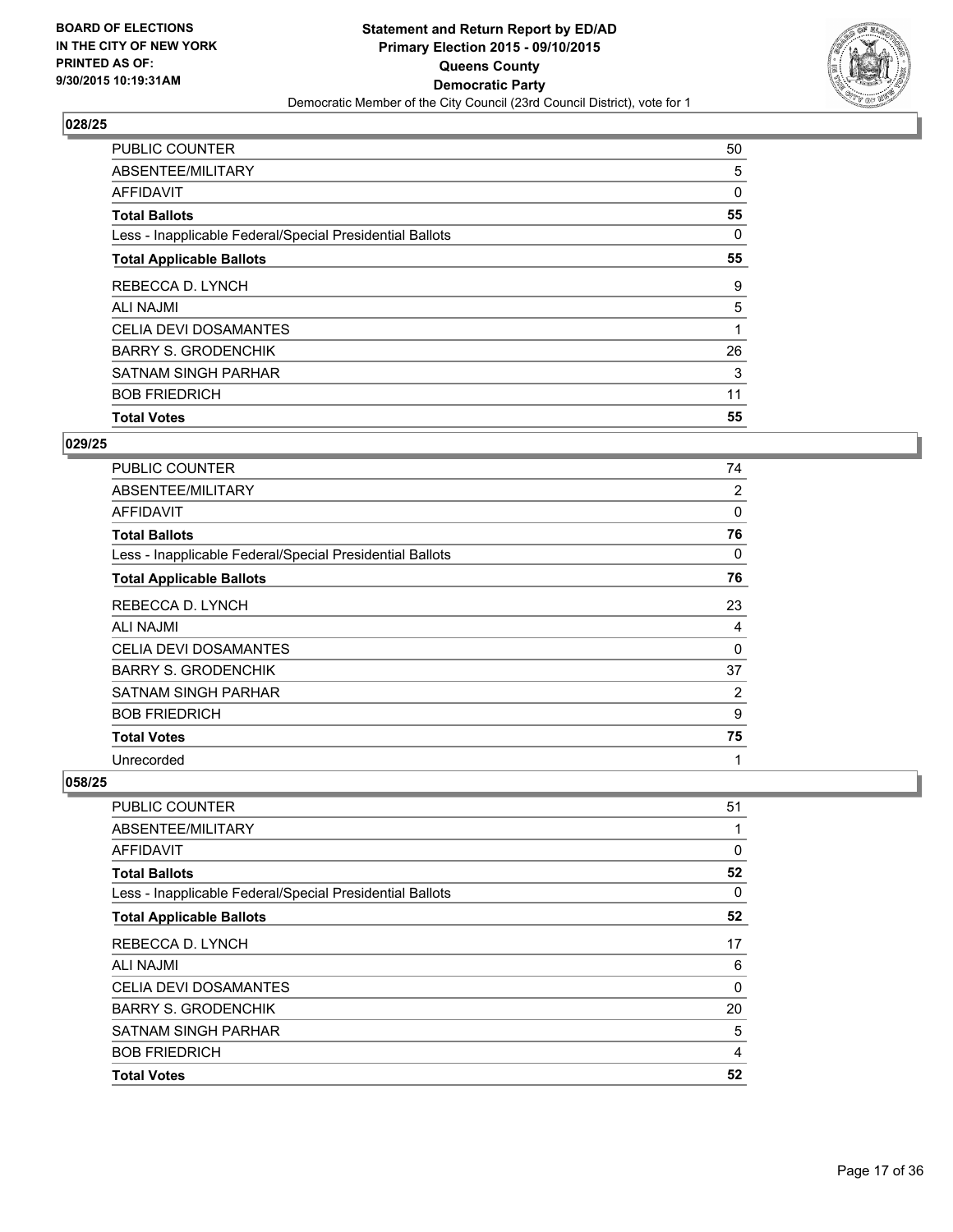

| <b>Total Votes</b>                                       | 55 |
|----------------------------------------------------------|----|
| <b>BOB FRIEDRICH</b>                                     | 11 |
| SATNAM SINGH PARHAR                                      | 3  |
| <b>BARRY S. GRODENCHIK</b>                               | 26 |
| <b>CELIA DEVI DOSAMANTES</b>                             |    |
| <b>ALI NAJMI</b>                                         | 5  |
| REBECCA D. LYNCH                                         | 9  |
| <b>Total Applicable Ballots</b>                          | 55 |
| Less - Inapplicable Federal/Special Presidential Ballots | 0  |
| <b>Total Ballots</b>                                     | 55 |
| <b>AFFIDAVIT</b>                                         | 0  |
| ABSENTEE/MILITARY                                        | 5  |
| <b>PUBLIC COUNTER</b>                                    | 50 |

#### **029/25**

| <b>PUBLIC COUNTER</b>                                    | 74 |
|----------------------------------------------------------|----|
| ABSENTEE/MILITARY                                        | 2  |
| AFFIDAVIT                                                | 0  |
| <b>Total Ballots</b>                                     | 76 |
| Less - Inapplicable Federal/Special Presidential Ballots | 0  |
| <b>Total Applicable Ballots</b>                          | 76 |
| REBECCA D. LYNCH                                         | 23 |
| ALI NAJMI                                                | 4  |
| CELIA DEVI DOSAMANTES                                    | 0  |
| <b>BARRY S. GRODENCHIK</b>                               | 37 |
| SATNAM SINGH PARHAR                                      | 2  |
| <b>BOB FRIEDRICH</b>                                     | 9  |
| <b>Total Votes</b>                                       | 75 |
| Unrecorded                                               | 1  |

| PUBLIC COUNTER                                           | 51 |
|----------------------------------------------------------|----|
| ABSENTEE/MILITARY                                        | 1  |
| <b>AFFIDAVIT</b>                                         | 0  |
| <b>Total Ballots</b>                                     | 52 |
| Less - Inapplicable Federal/Special Presidential Ballots | 0  |
| <b>Total Applicable Ballots</b>                          | 52 |
| REBECCA D. LYNCH                                         | 17 |
| ALI NAJMI                                                | 6  |
| <b>CELIA DEVI DOSAMANTES</b>                             | 0  |
| <b>BARRY S. GRODENCHIK</b>                               | 20 |
| <b>SATNAM SINGH PARHAR</b>                               | 5  |
| <b>BOB FRIEDRICH</b>                                     | 4  |
| <b>Total Votes</b>                                       | 52 |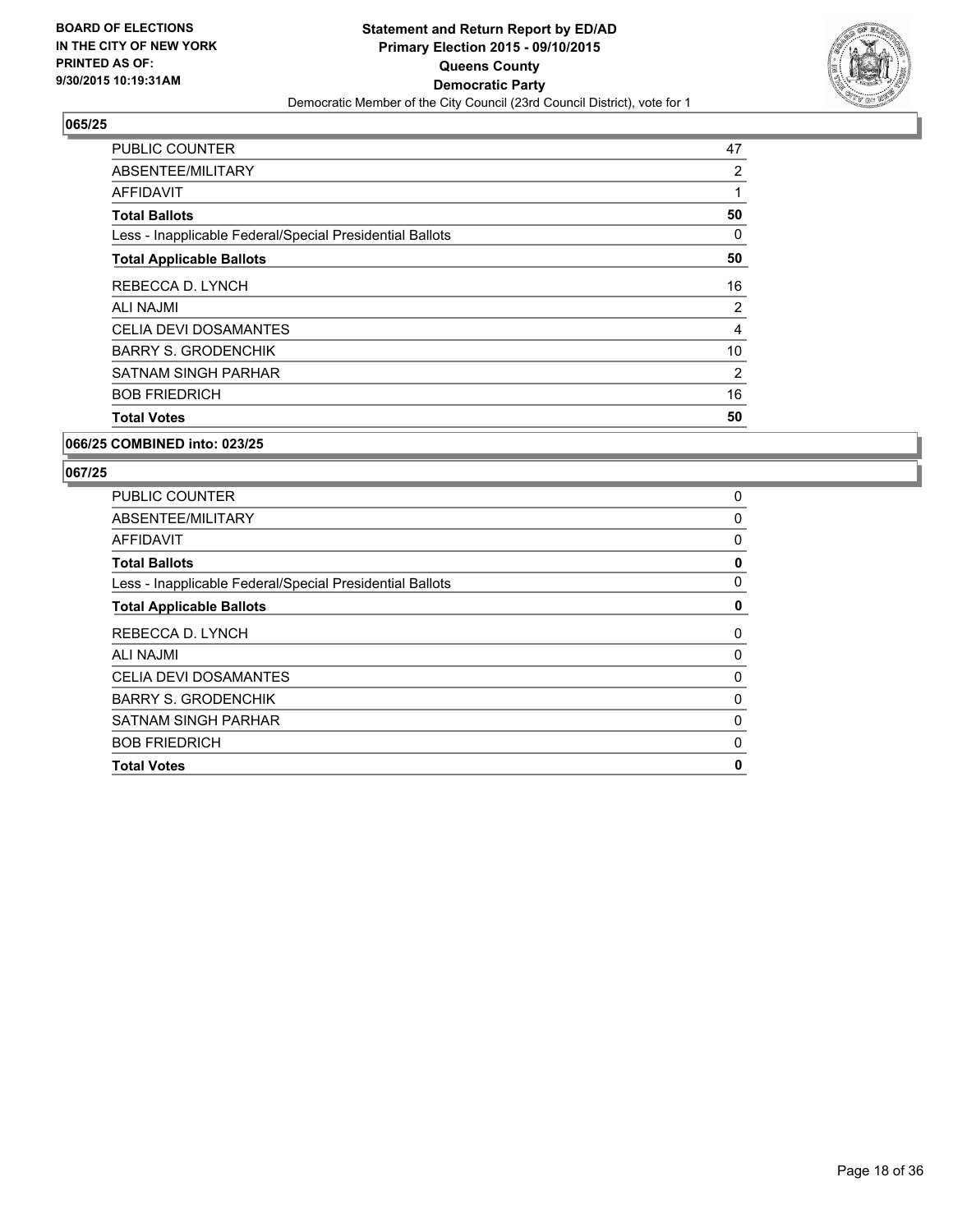

| <b>Total Votes</b>                                       | 50 |
|----------------------------------------------------------|----|
| <b>BOB FRIEDRICH</b>                                     | 16 |
| SATNAM SINGH PARHAR                                      | 2  |
| <b>BARRY S. GRODENCHIK</b>                               | 10 |
| CELIA DEVI DOSAMANTES                                    | 4  |
| ALI NAJMI                                                | 2  |
| REBECCA D. LYNCH                                         | 16 |
| <b>Total Applicable Ballots</b>                          | 50 |
| Less - Inapplicable Federal/Special Presidential Ballots | 0  |
| <b>Total Ballots</b>                                     | 50 |
| AFFIDAVIT                                                | 1  |
| ABSENTEE/MILITARY                                        | 2  |
| <b>PUBLIC COUNTER</b>                                    | 47 |

#### **066/25 COMBINED into: 023/25**

| PUBLIC COUNTER                                           | 0            |
|----------------------------------------------------------|--------------|
| ABSENTEE/MILITARY                                        | $\mathbf{0}$ |
| AFFIDAVIT                                                | 0            |
| <b>Total Ballots</b>                                     | 0            |
| Less - Inapplicable Federal/Special Presidential Ballots | 0            |
| <b>Total Applicable Ballots</b>                          | 0            |
| REBECCA D. LYNCH                                         | 0            |
| ALI NAJMI                                                | 0            |
| <b>CELIA DEVI DOSAMANTES</b>                             | 0            |
| <b>BARRY S. GRODENCHIK</b>                               | 0            |
| <b>SATNAM SINGH PARHAR</b>                               | 0            |
| <b>BOB FRIEDRICH</b>                                     | 0            |
| <b>Total Votes</b>                                       | 0            |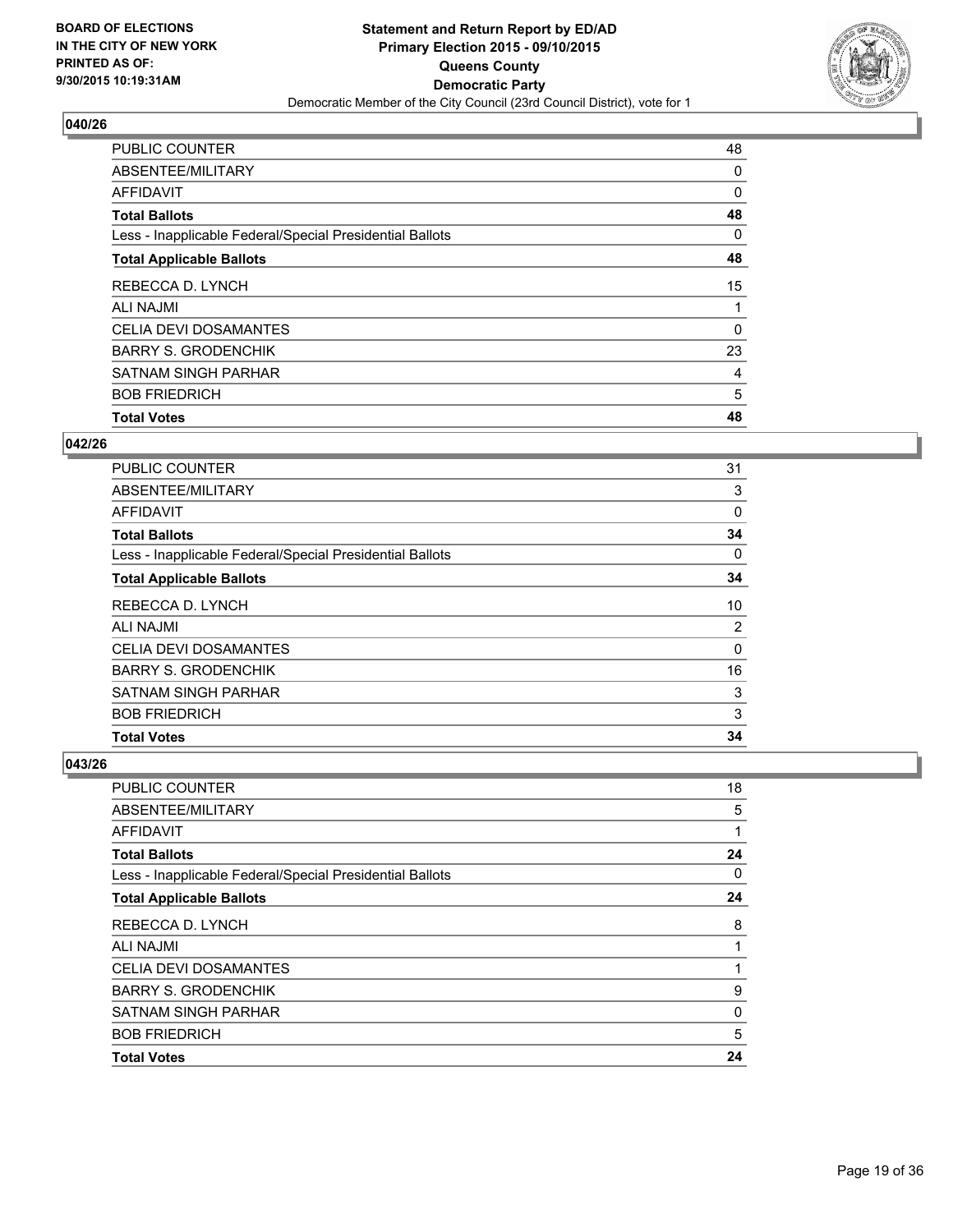

| <b>Total Votes</b>                                       | 48 |
|----------------------------------------------------------|----|
| <b>BOB FRIEDRICH</b>                                     | 5  |
| <b>SATNAM SINGH PARHAR</b>                               | 4  |
| <b>BARRY S. GRODENCHIK</b>                               | 23 |
| CELIA DEVI DOSAMANTES                                    | 0  |
| <b>ALI NAJMI</b>                                         |    |
| REBECCA D. LYNCH                                         | 15 |
| <b>Total Applicable Ballots</b>                          | 48 |
| Less - Inapplicable Federal/Special Presidential Ballots | 0  |
| <b>Total Ballots</b>                                     | 48 |
| <b>AFFIDAVIT</b>                                         | 0  |
| ABSENTEE/MILITARY                                        | 0  |
| <b>PUBLIC COUNTER</b>                                    | 48 |

#### **042/26**

| <b>PUBLIC COUNTER</b>                                    | 31 |
|----------------------------------------------------------|----|
| ABSENTEE/MILITARY                                        | 3  |
| <b>AFFIDAVIT</b>                                         | 0  |
| <b>Total Ballots</b>                                     | 34 |
| Less - Inapplicable Federal/Special Presidential Ballots | 0  |
| <b>Total Applicable Ballots</b>                          | 34 |
| REBECCA D. LYNCH                                         | 10 |
| <b>ALI NAJMI</b>                                         | 2  |
| <b>CELIA DEVI DOSAMANTES</b>                             | 0  |
| <b>BARRY S. GRODENCHIK</b>                               | 16 |
| SATNAM SINGH PARHAR                                      | 3  |
| <b>BOB FRIEDRICH</b>                                     | 3  |
| <b>Total Votes</b>                                       | 34 |

| <b>PUBLIC COUNTER</b>                                    | 18 |
|----------------------------------------------------------|----|
| ABSENTEE/MILITARY                                        | 5  |
| AFFIDAVIT                                                | 1  |
| <b>Total Ballots</b>                                     | 24 |
| Less - Inapplicable Federal/Special Presidential Ballots | 0  |
| <b>Total Applicable Ballots</b>                          | 24 |
| REBECCA D. LYNCH                                         | 8  |
| <b>ALI NAJMI</b>                                         | 1  |
| <b>CELIA DEVI DOSAMANTES</b>                             |    |
| <b>BARRY S. GRODENCHIK</b>                               | 9  |
| <b>SATNAM SINGH PARHAR</b>                               | 0  |
| <b>BOB FRIEDRICH</b>                                     | 5  |
| <b>Total Votes</b>                                       | 24 |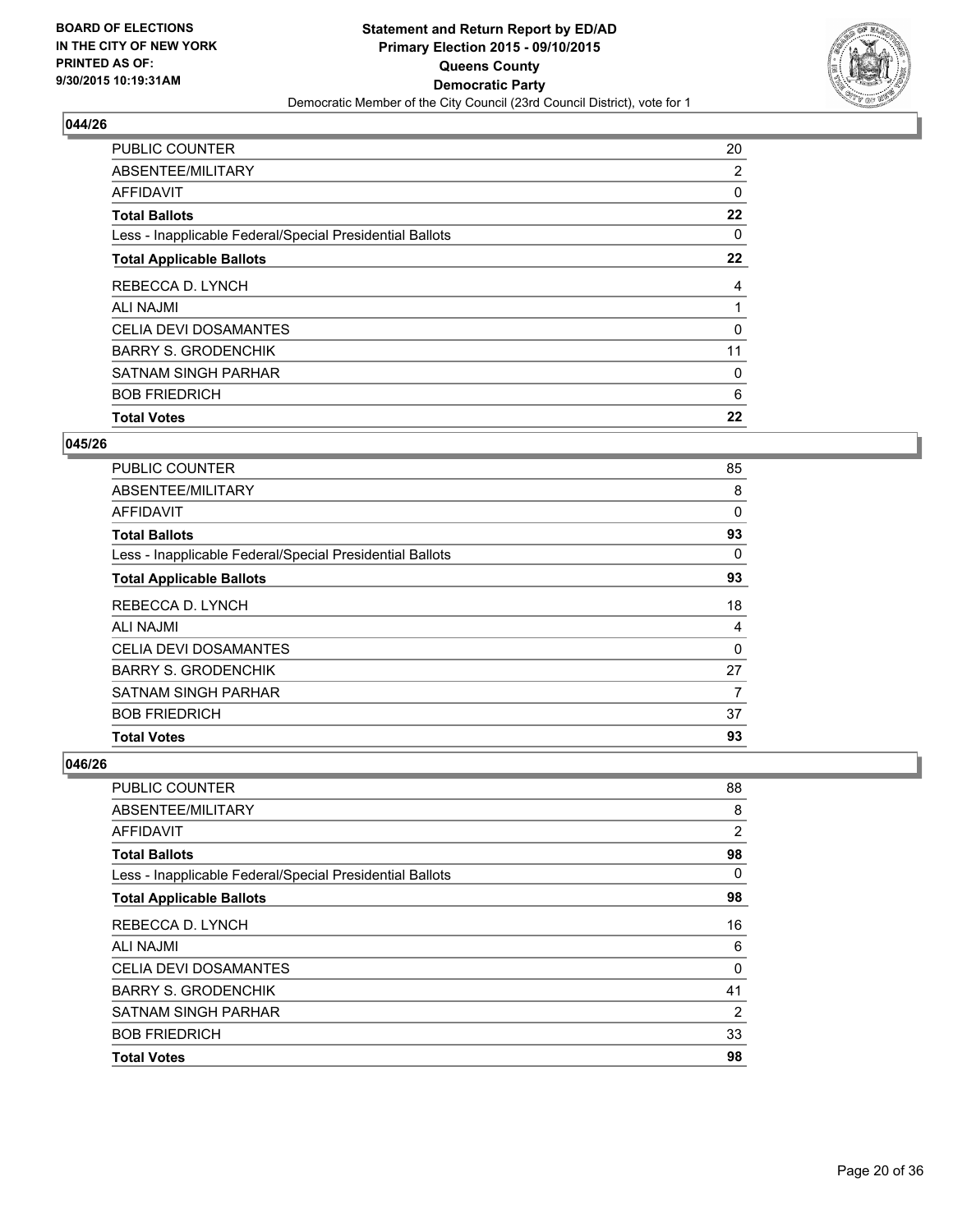

| <b>Total Votes</b>                                       | 22 |
|----------------------------------------------------------|----|
| <b>BOB FRIEDRICH</b>                                     | 6  |
| SATNAM SINGH PARHAR                                      | 0  |
| <b>BARRY S. GRODENCHIK</b>                               | 11 |
| <b>CELIA DEVI DOSAMANTES</b>                             | 0  |
| <b>ALI NAJMI</b>                                         |    |
| REBECCA D. LYNCH                                         | 4  |
| <b>Total Applicable Ballots</b>                          | 22 |
| Less - Inapplicable Federal/Special Presidential Ballots | 0  |
| <b>Total Ballots</b>                                     | 22 |
| <b>AFFIDAVIT</b>                                         | 0  |
| ABSENTEE/MILITARY                                        | 2  |
| <b>PUBLIC COUNTER</b>                                    | 20 |

#### **045/26**

| <b>Total Votes</b>                                       | 93 |
|----------------------------------------------------------|----|
| <b>BOB FRIEDRICH</b>                                     | 37 |
| <b>SATNAM SINGH PARHAR</b>                               | 7  |
| <b>BARRY S. GRODENCHIK</b>                               | 27 |
| <b>CELIA DEVI DOSAMANTES</b>                             | 0  |
| <b>ALI NAJMI</b>                                         | 4  |
| REBECCA D. LYNCH                                         | 18 |
| <b>Total Applicable Ballots</b>                          | 93 |
| Less - Inapplicable Federal/Special Presidential Ballots | 0  |
| <b>Total Ballots</b>                                     | 93 |
| <b>AFFIDAVIT</b>                                         | 0  |
| ABSENTEE/MILITARY                                        | 8  |
| <b>PUBLIC COUNTER</b>                                    | 85 |

| PUBLIC COUNTER                                           | 88             |
|----------------------------------------------------------|----------------|
| ABSENTEE/MILITARY                                        | 8              |
| AFFIDAVIT                                                | $\overline{2}$ |
| <b>Total Ballots</b>                                     | 98             |
| Less - Inapplicable Federal/Special Presidential Ballots | 0              |
| <b>Total Applicable Ballots</b>                          | 98             |
| REBECCA D. LYNCH                                         | 16             |
| <b>ALI NAJMI</b>                                         | 6              |
| <b>CELIA DEVI DOSAMANTES</b>                             | 0              |
| <b>BARRY S. GRODENCHIK</b>                               | 41             |
| <b>SATNAM SINGH PARHAR</b>                               | $\overline{2}$ |
| <b>BOB FRIEDRICH</b>                                     | 33             |
| <b>Total Votes</b>                                       | 98             |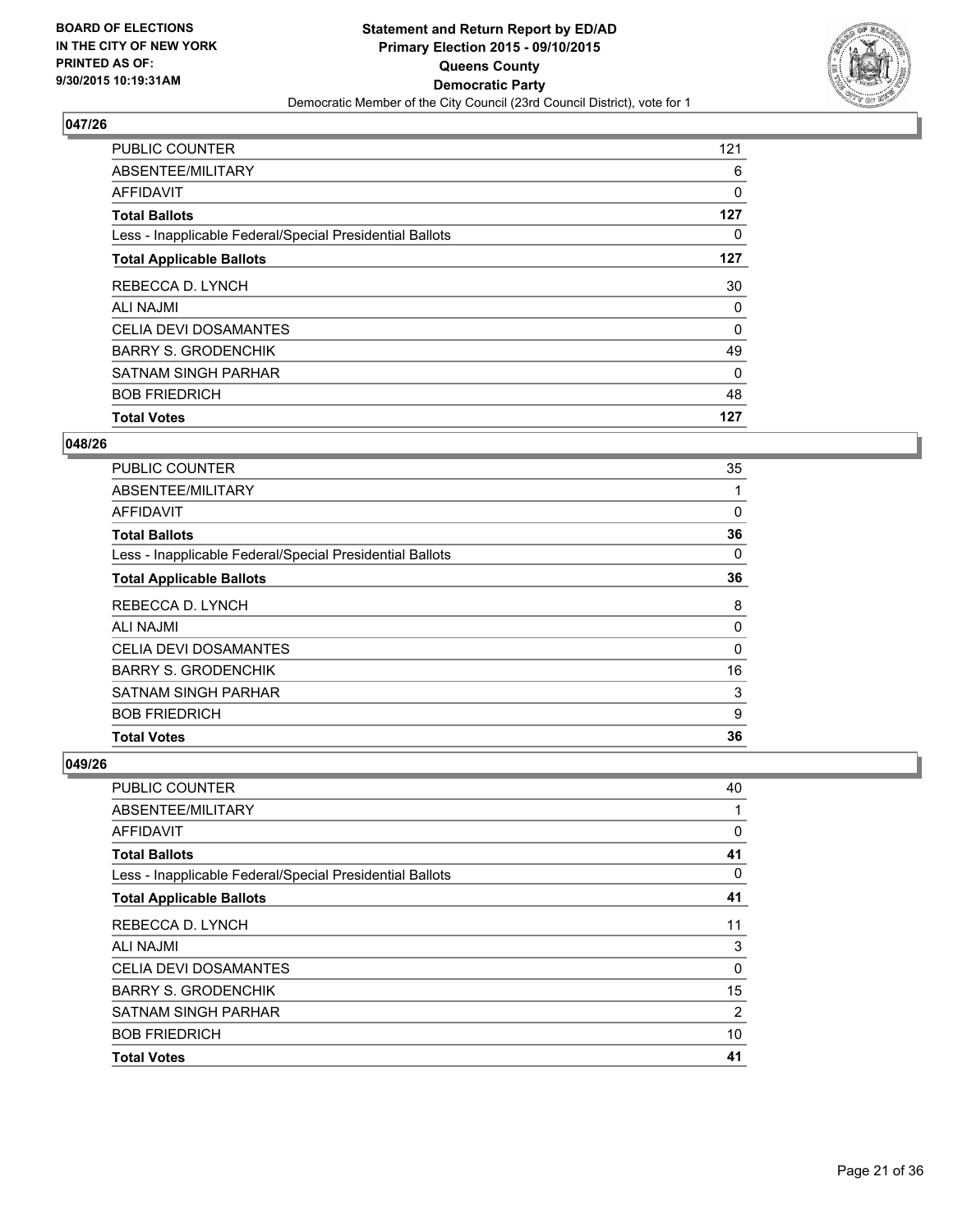

| <b>Total Votes</b>                                       | 127 |
|----------------------------------------------------------|-----|
| <b>BOB FRIEDRICH</b>                                     | 48  |
| <b>SATNAM SINGH PARHAR</b>                               | 0   |
| <b>BARRY S. GRODENCHIK</b>                               | 49  |
| <b>CELIA DEVI DOSAMANTES</b>                             | 0   |
| ALI NAJMI                                                | 0   |
| REBECCA D. LYNCH                                         | 30  |
| <b>Total Applicable Ballots</b>                          | 127 |
| Less - Inapplicable Federal/Special Presidential Ballots | 0   |
| <b>Total Ballots</b>                                     | 127 |
| AFFIDAVIT                                                | 0   |
| ABSENTEE/MILITARY                                        | 6   |
| PUBLIC COUNTER                                           | 121 |

#### **048/26**

| <b>PUBLIC COUNTER</b>                                    | 35 |
|----------------------------------------------------------|----|
| ABSENTEE/MILITARY                                        | 1  |
| <b>AFFIDAVIT</b>                                         | 0  |
| <b>Total Ballots</b>                                     | 36 |
| Less - Inapplicable Federal/Special Presidential Ballots | 0  |
| <b>Total Applicable Ballots</b>                          | 36 |
| REBECCA D. LYNCH                                         | 8  |
| <b>ALI NAJMI</b>                                         | 0  |
| <b>CELIA DEVI DOSAMANTES</b>                             | 0  |
| <b>BARRY S. GRODENCHIK</b>                               | 16 |
| <b>SATNAM SINGH PARHAR</b>                               | 3  |
| <b>BOB FRIEDRICH</b>                                     | 9  |
| <b>Total Votes</b>                                       | 36 |

| <b>PUBLIC COUNTER</b>                                    | 40 |
|----------------------------------------------------------|----|
| ABSENTEE/MILITARY                                        | 1  |
| AFFIDAVIT                                                | 0  |
| <b>Total Ballots</b>                                     | 41 |
| Less - Inapplicable Federal/Special Presidential Ballots | 0  |
| <b>Total Applicable Ballots</b>                          | 41 |
| REBECCA D. LYNCH                                         | 11 |
| <b>ALI NAJMI</b>                                         | 3  |
| <b>CELIA DEVI DOSAMANTES</b>                             | 0  |
| <b>BARRY S. GRODENCHIK</b>                               | 15 |
| <b>SATNAM SINGH PARHAR</b>                               | 2  |
| <b>BOB FRIEDRICH</b>                                     | 10 |
| <b>Total Votes</b>                                       | 41 |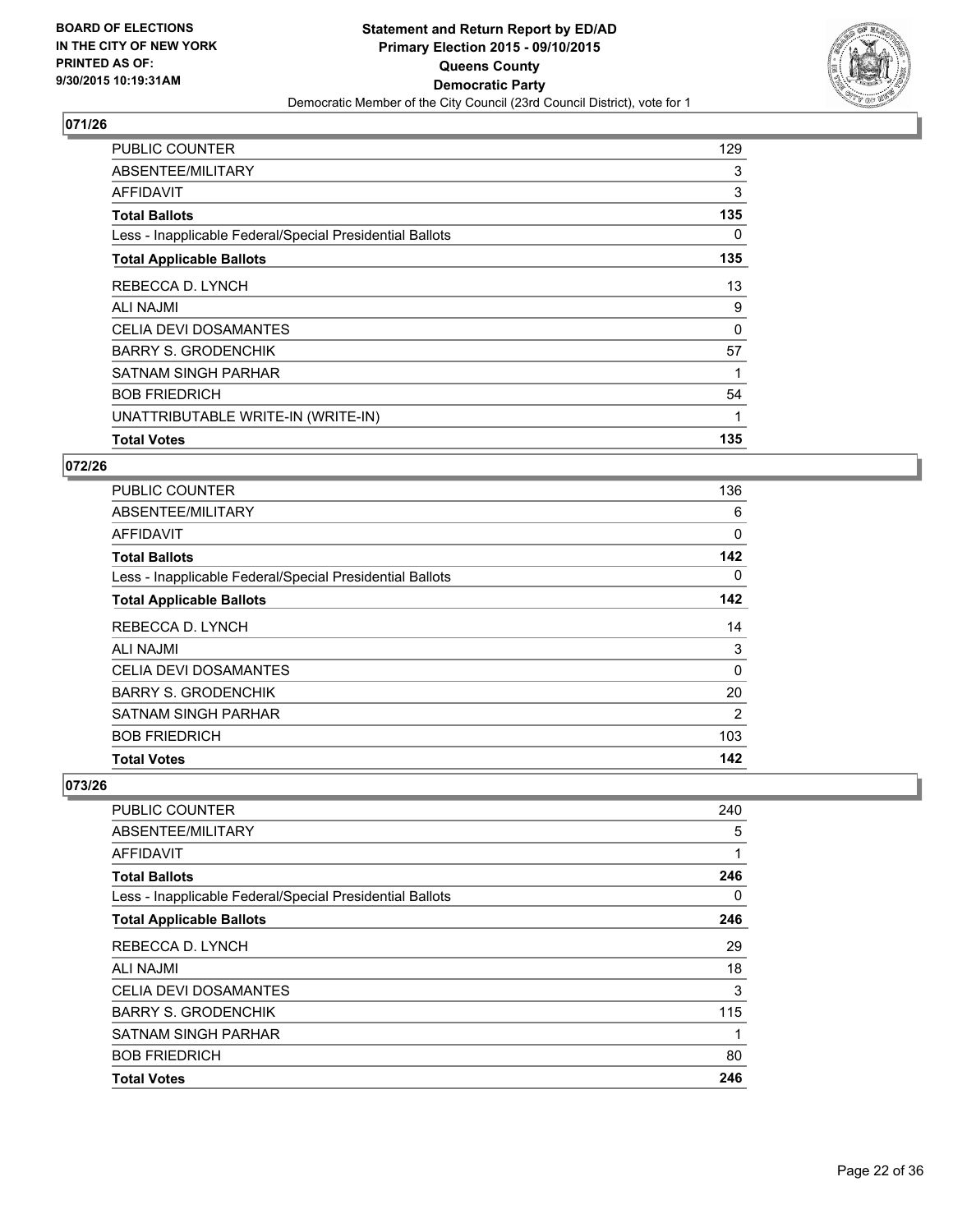

| <b>PUBLIC COUNTER</b>                                    | 129          |
|----------------------------------------------------------|--------------|
| ABSENTEE/MILITARY                                        | 3            |
| AFFIDAVIT                                                | 3            |
| <b>Total Ballots</b>                                     | 135          |
| Less - Inapplicable Federal/Special Presidential Ballots | 0            |
| <b>Total Applicable Ballots</b>                          | 135          |
| REBECCA D. LYNCH                                         | 13           |
| ALI NAJMI                                                | 9            |
| <b>CELIA DEVI DOSAMANTES</b>                             | 0            |
| <b>BARRY S. GRODENCHIK</b>                               | 57           |
| SATNAM SINGH PARHAR                                      | 1            |
| <b>BOB FRIEDRICH</b>                                     | 54           |
| UNATTRIBUTABLE WRITE-IN (WRITE-IN)                       | $\mathbf{1}$ |
| <b>Total Votes</b>                                       | 135          |

## **072/26**

| <b>PUBLIC COUNTER</b>                                    | 136 |
|----------------------------------------------------------|-----|
| ABSENTEE/MILITARY                                        | 6   |
| <b>AFFIDAVIT</b>                                         | 0   |
| <b>Total Ballots</b>                                     | 142 |
| Less - Inapplicable Federal/Special Presidential Ballots | 0   |
| <b>Total Applicable Ballots</b>                          | 142 |
| REBECCA D. LYNCH                                         | 14  |
| <b>ALI NAJMI</b>                                         | 3   |
| <b>CELIA DEVI DOSAMANTES</b>                             | 0   |
| <b>BARRY S. GRODENCHIK</b>                               | 20  |
| <b>SATNAM SINGH PARHAR</b>                               | 2   |
| <b>BOB FRIEDRICH</b>                                     | 103 |
| <b>Total Votes</b>                                       | 142 |

| SATNAM SINGH PARHAR<br><b>BOB FRIEDRICH</b>              | 1<br>80 |
|----------------------------------------------------------|---------|
| <b>BARRY S. GRODENCHIK</b>                               | 115     |
| <b>CELIA DEVI DOSAMANTES</b>                             | 3       |
| <b>ALI NAJMI</b>                                         | 18      |
| REBECCA D. LYNCH                                         | 29      |
| <b>Total Applicable Ballots</b>                          | 246     |
| Less - Inapplicable Federal/Special Presidential Ballots | 0       |
| <b>Total Ballots</b>                                     | 246     |
| AFFIDAVIT                                                | 1       |
| ABSENTEE/MILITARY                                        | 5       |
| PUBLIC COUNTER                                           | 240     |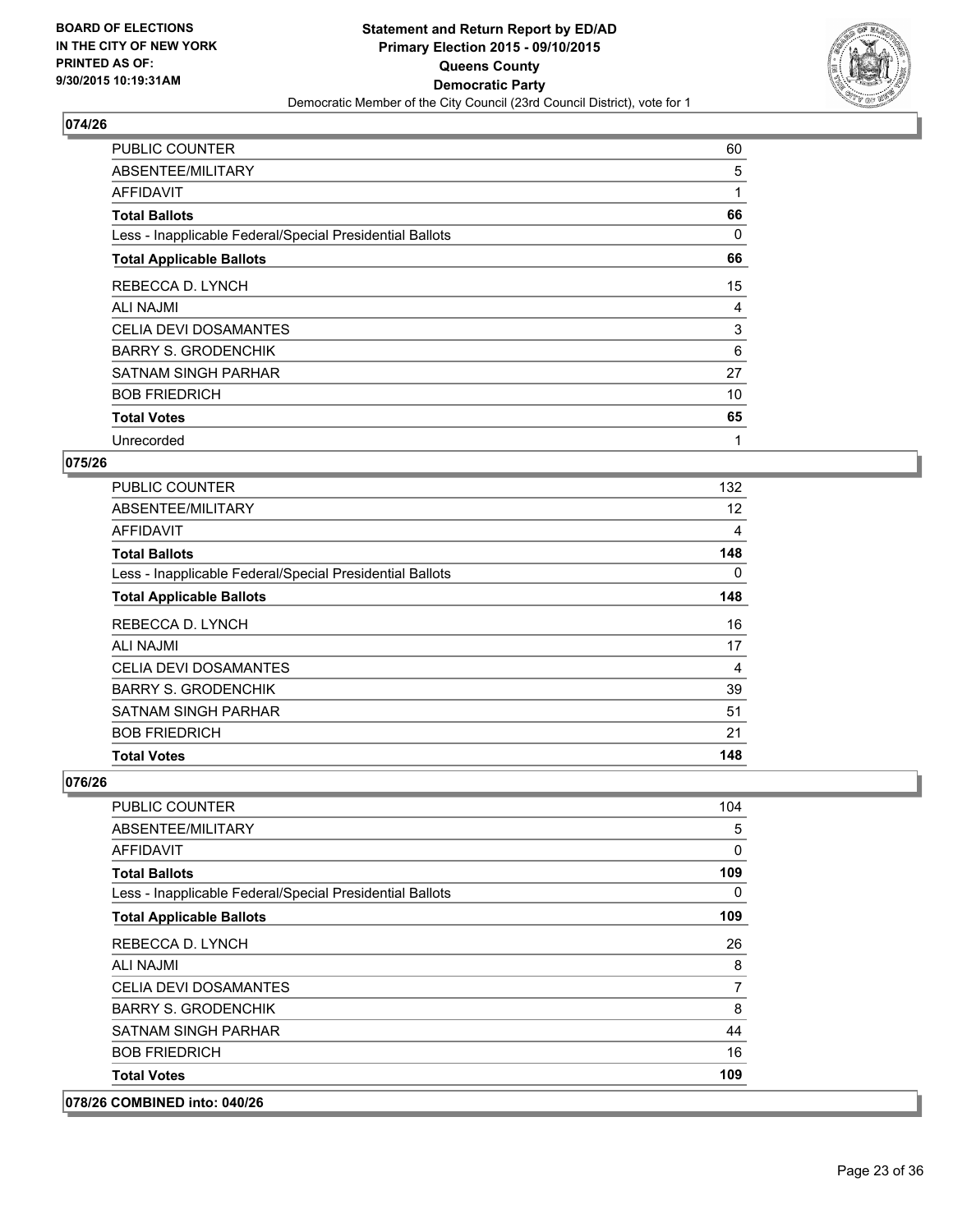

| <b>PUBLIC COUNTER</b>                                    | 60 |
|----------------------------------------------------------|----|
| ABSENTEE/MILITARY                                        | 5  |
| <b>AFFIDAVIT</b>                                         |    |
| <b>Total Ballots</b>                                     | 66 |
| Less - Inapplicable Federal/Special Presidential Ballots | 0  |
| <b>Total Applicable Ballots</b>                          | 66 |
| REBECCA D. LYNCH                                         | 15 |
| <b>ALI NAJMI</b>                                         | 4  |
| <b>CELIA DEVI DOSAMANTES</b>                             | 3  |
| <b>BARRY S. GRODENCHIK</b>                               | 6  |
| SATNAM SINGH PARHAR                                      | 27 |
| <b>BOB FRIEDRICH</b>                                     | 10 |
| <b>Total Votes</b>                                       | 65 |
| Unrecorded                                               | 1  |

## **075/26**

| <b>PUBLIC COUNTER</b>                                    | 132 |
|----------------------------------------------------------|-----|
| ABSENTEE/MILITARY                                        | 12  |
| <b>AFFIDAVIT</b>                                         | 4   |
| <b>Total Ballots</b>                                     | 148 |
| Less - Inapplicable Federal/Special Presidential Ballots | 0   |
| <b>Total Applicable Ballots</b>                          | 148 |
| REBECCA D. LYNCH                                         | 16  |
| <b>ALI NAJMI</b>                                         | 17  |
| <b>CELIA DEVI DOSAMANTES</b>                             | 4   |
| <b>BARRY S. GRODENCHIK</b>                               | 39  |
| <b>SATNAM SINGH PARHAR</b>                               | 51  |
| <b>BOB FRIEDRICH</b>                                     | 21  |
| <b>Total Votes</b>                                       | 148 |

| 078/26 COMBINED into: 040/26                             |                |
|----------------------------------------------------------|----------------|
| <b>Total Votes</b>                                       | 109            |
| <b>BOB FRIEDRICH</b>                                     | 16             |
| SATNAM SINGH PARHAR                                      | 44             |
| <b>BARRY S. GRODENCHIK</b>                               | 8              |
| <b>CELIA DEVI DOSAMANTES</b>                             | $\overline{7}$ |
| ALI NAJMI                                                | 8              |
| REBECCA D. LYNCH                                         | 26             |
| <b>Total Applicable Ballots</b>                          | 109            |
| Less - Inapplicable Federal/Special Presidential Ballots | 0              |
| <b>Total Ballots</b>                                     | 109            |
| AFFIDAVIT                                                | 0              |
| ABSENTEE/MILITARY                                        | 5              |
| <b>PUBLIC COUNTER</b>                                    | 104            |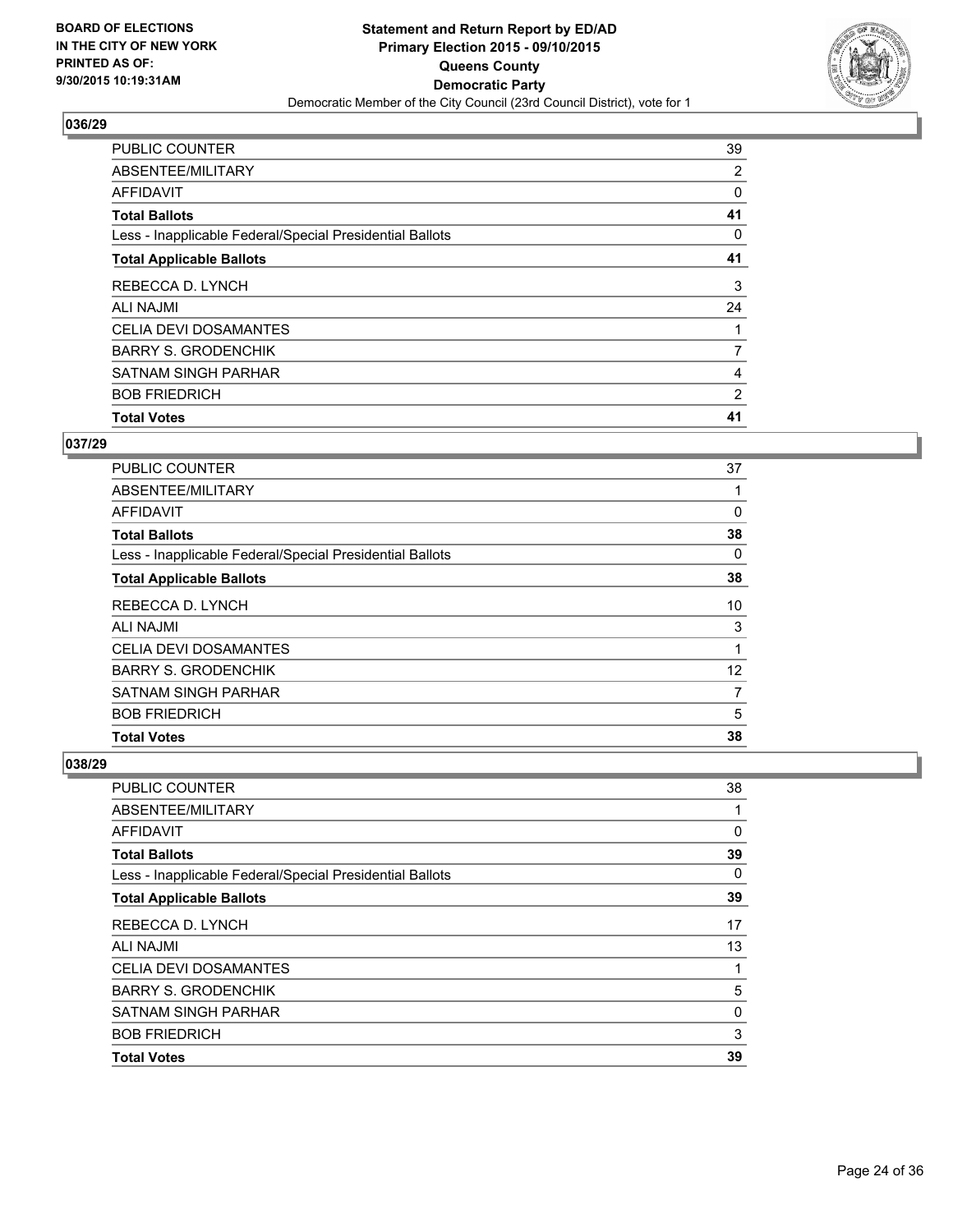

| <b>PUBLIC COUNTER</b>                                    | 39 |
|----------------------------------------------------------|----|
| ABSENTEE/MILITARY                                        | 2  |
| <b>AFFIDAVIT</b>                                         | 0  |
| <b>Total Ballots</b>                                     | 41 |
| Less - Inapplicable Federal/Special Presidential Ballots | 0  |
| <b>Total Applicable Ballots</b>                          | 41 |
| REBECCA D. LYNCH                                         | 3  |
| <b>ALI NAJMI</b>                                         | 24 |
| CELIA DEVI DOSAMANTES                                    |    |
| <b>BARRY S. GRODENCHIK</b>                               | 7  |
| <b>SATNAM SINGH PARHAR</b>                               | 4  |
| <b>BOB FRIEDRICH</b>                                     | 2  |
| <b>Total Votes</b>                                       | 41 |

# **037/29**

| <b>PUBLIC COUNTER</b>                                    | 37 |
|----------------------------------------------------------|----|
| ABSENTEE/MILITARY                                        |    |
| <b>AFFIDAVIT</b>                                         | 0  |
| <b>Total Ballots</b>                                     | 38 |
| Less - Inapplicable Federal/Special Presidential Ballots | 0  |
| <b>Total Applicable Ballots</b>                          | 38 |
| REBECCA D. LYNCH                                         | 10 |
| ALI NAJMI                                                | 3  |
| <b>CELIA DEVI DOSAMANTES</b>                             | 1  |
| <b>BARRY S. GRODENCHIK</b>                               | 12 |
| <b>SATNAM SINGH PARHAR</b>                               | 7  |
| <b>BOB FRIEDRICH</b>                                     | 5  |
| <b>Total Votes</b>                                       | 38 |

| <b>PUBLIC COUNTER</b>                                    | 38 |
|----------------------------------------------------------|----|
| ABSENTEE/MILITARY                                        | 1  |
| AFFIDAVIT                                                | 0  |
| <b>Total Ballots</b>                                     | 39 |
| Less - Inapplicable Federal/Special Presidential Ballots | 0  |
| <b>Total Applicable Ballots</b>                          | 39 |
| REBECCA D. LYNCH                                         | 17 |
| <b>ALI NAJMI</b>                                         | 13 |
| <b>CELIA DEVI DOSAMANTES</b>                             | 1  |
| <b>BARRY S. GRODENCHIK</b>                               | 5  |
| <b>SATNAM SINGH PARHAR</b>                               | 0  |
| <b>BOB FRIEDRICH</b>                                     | 3  |
| <b>Total Votes</b>                                       | 39 |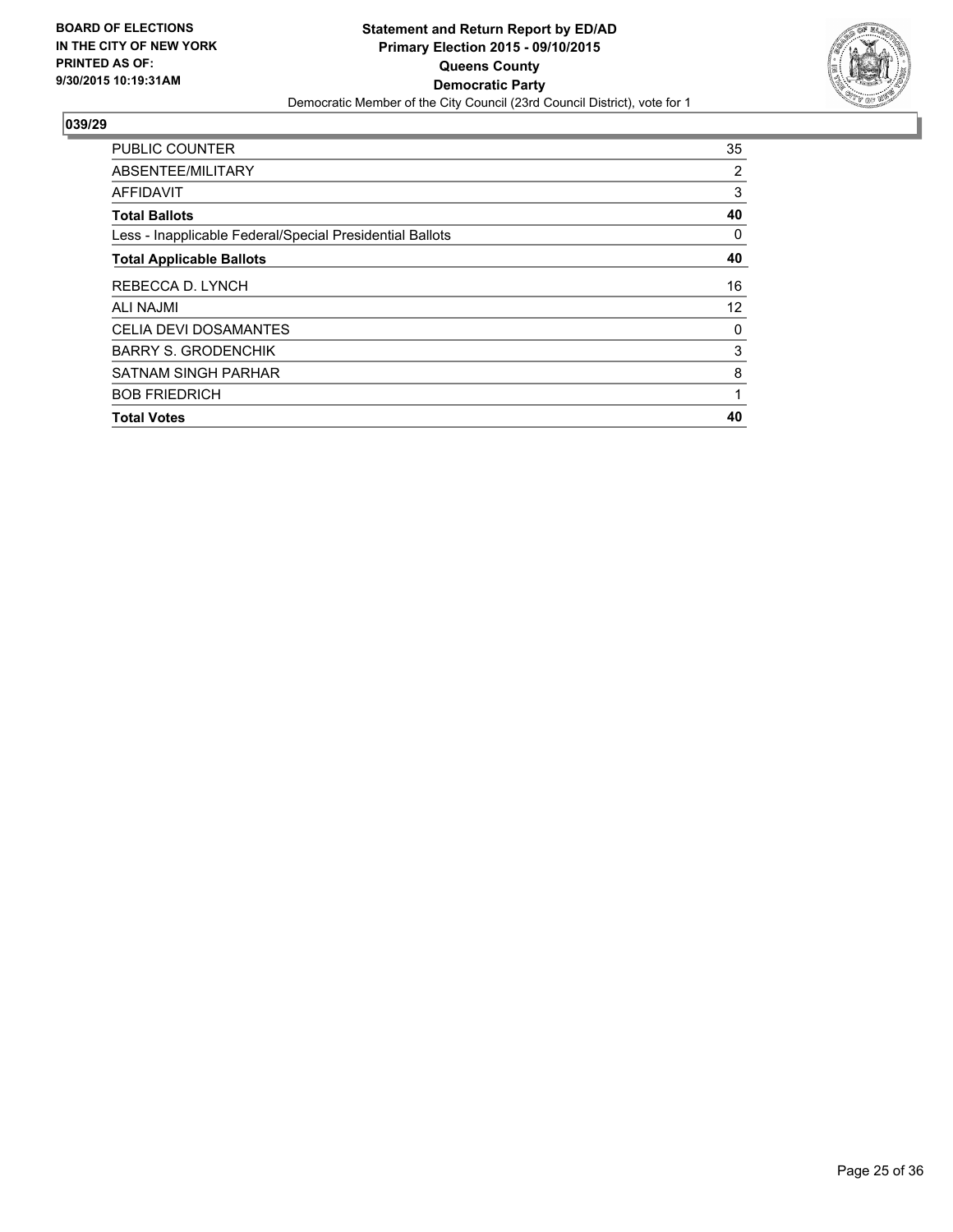

| <b>PUBLIC COUNTER</b>                                    | 35 |
|----------------------------------------------------------|----|
| ABSENTEE/MILITARY                                        | 2  |
| AFFIDAVIT                                                | 3  |
| <b>Total Ballots</b>                                     | 40 |
| Less - Inapplicable Federal/Special Presidential Ballots | 0  |
| <b>Total Applicable Ballots</b>                          | 40 |
| REBECCA D. LYNCH                                         | 16 |
| <b>ALI NAJMI</b>                                         | 12 |
| <b>CELIA DEVI DOSAMANTES</b>                             | 0  |
| <b>BARRY S. GRODENCHIK</b>                               | 3  |
| SATNAM SINGH PARHAR                                      | 8  |
| <b>BOB FRIEDRICH</b>                                     | 1  |
| <b>Total Votes</b>                                       | 40 |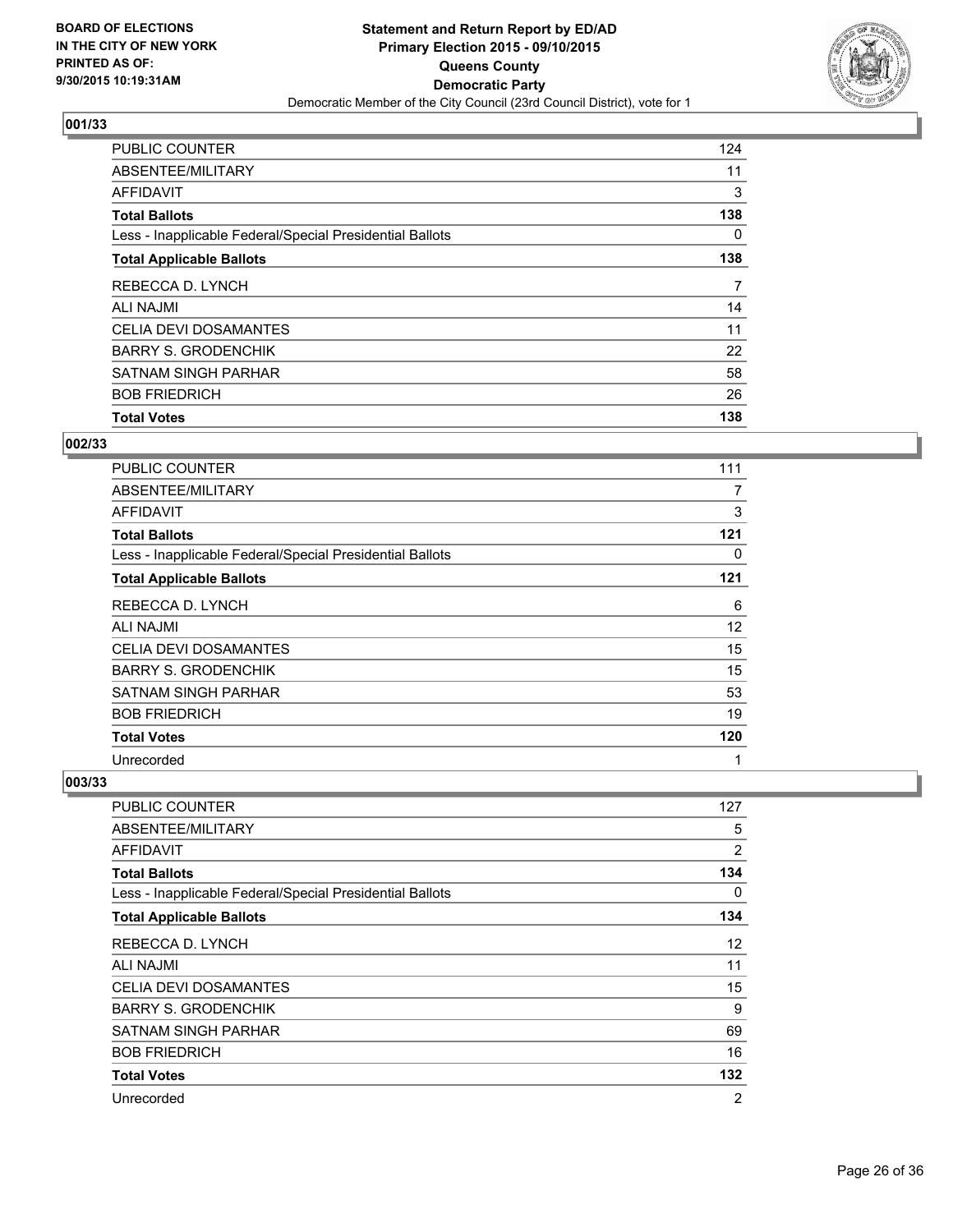

| <b>PUBLIC COUNTER</b>                                    | 124 |
|----------------------------------------------------------|-----|
| ABSENTEE/MILITARY                                        | 11  |
| <b>AFFIDAVIT</b>                                         | 3   |
| <b>Total Ballots</b>                                     | 138 |
| Less - Inapplicable Federal/Special Presidential Ballots | 0   |
| <b>Total Applicable Ballots</b>                          | 138 |
| REBECCA D. LYNCH                                         | 7   |
| <b>ALI NAJMI</b>                                         | 14  |
| <b>CELIA DEVI DOSAMANTES</b>                             | 11  |
| <b>BARRY S. GRODENCHIK</b>                               | 22  |
| <b>SATNAM SINGH PARHAR</b>                               | 58  |
| <b>BOB FRIEDRICH</b>                                     | 26  |
| <b>Total Votes</b>                                       | 138 |

#### **002/33**

| <b>PUBLIC COUNTER</b>                                    | 111 |
|----------------------------------------------------------|-----|
| ABSENTEE/MILITARY                                        | 7   |
| AFFIDAVIT                                                | 3   |
| <b>Total Ballots</b>                                     | 121 |
| Less - Inapplicable Federal/Special Presidential Ballots | 0   |
| <b>Total Applicable Ballots</b>                          | 121 |
| REBECCA D. LYNCH                                         | 6   |
| ALI NAJMI                                                | 12  |
| <b>CELIA DEVI DOSAMANTES</b>                             | 15  |
| <b>BARRY S. GRODENCHIK</b>                               | 15  |
| SATNAM SINGH PARHAR                                      | 53  |
| <b>BOB FRIEDRICH</b>                                     | 19  |
| <b>Total Votes</b>                                       | 120 |
| Unrecorded                                               | 1   |

| PUBLIC COUNTER                                           | 127 |
|----------------------------------------------------------|-----|
| ABSENTEE/MILITARY                                        | 5   |
| AFFIDAVIT                                                | 2   |
| <b>Total Ballots</b>                                     | 134 |
| Less - Inapplicable Federal/Special Presidential Ballots | 0   |
| <b>Total Applicable Ballots</b>                          | 134 |
| REBECCA D. LYNCH                                         | 12  |
| <b>ALI NAJMI</b>                                         | 11  |
| <b>CELIA DEVI DOSAMANTES</b>                             | 15  |
| <b>BARRY S. GRODENCHIK</b>                               | 9   |
| <b>SATNAM SINGH PARHAR</b>                               | 69  |
| <b>BOB FRIEDRICH</b>                                     | 16  |
| <b>Total Votes</b>                                       | 132 |
| Unrecorded                                               | 2   |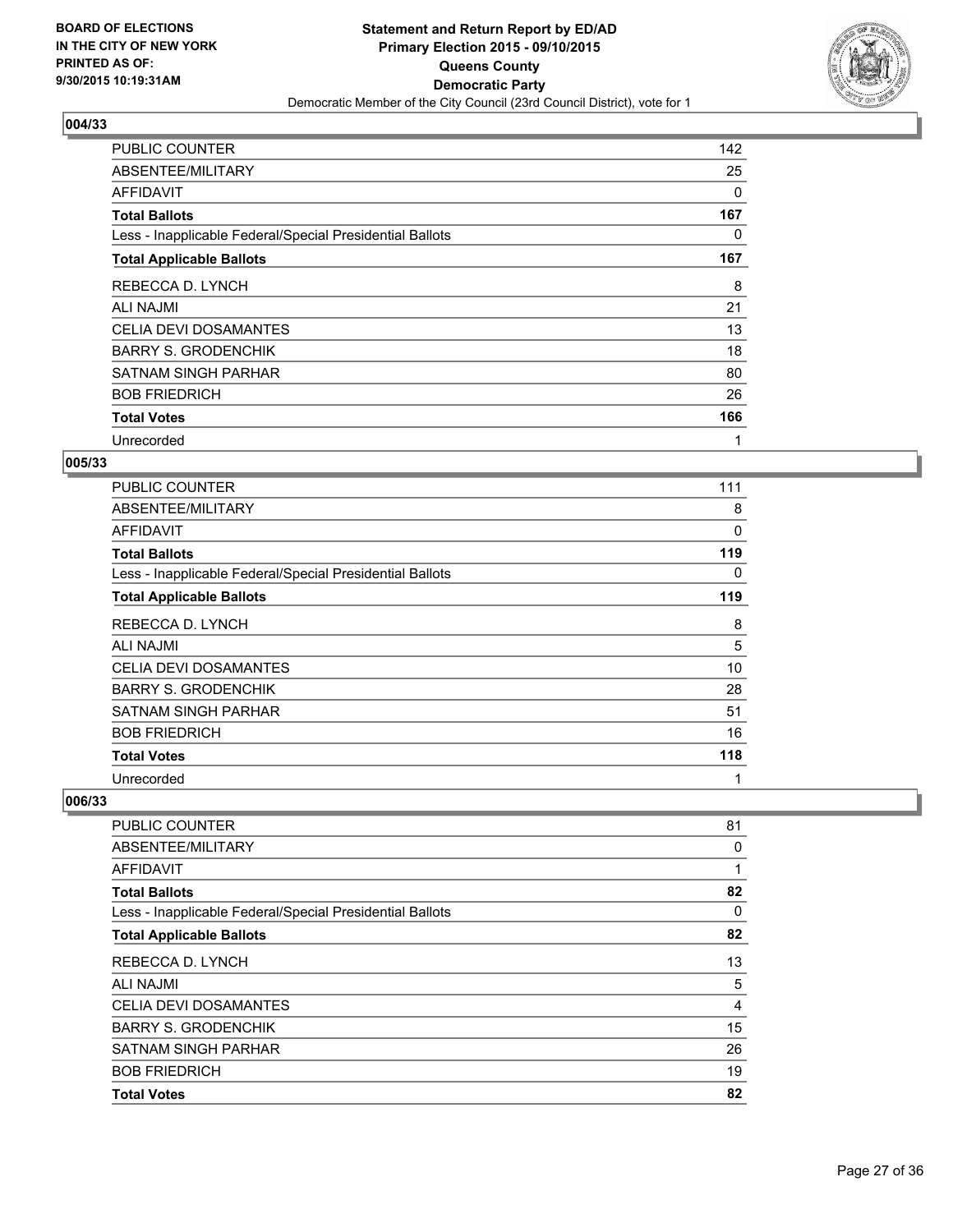

| PUBLIC COUNTER                                           | 142      |
|----------------------------------------------------------|----------|
| ABSENTEE/MILITARY                                        | 25       |
| <b>AFFIDAVIT</b>                                         | $\Omega$ |
| <b>Total Ballots</b>                                     | 167      |
| Less - Inapplicable Federal/Special Presidential Ballots | 0        |
| <b>Total Applicable Ballots</b>                          | 167      |
| REBECCA D. LYNCH                                         | 8        |
| ALI NAJMI                                                | 21       |
| <b>CELIA DEVI DOSAMANTES</b>                             | 13       |
| <b>BARRY S. GRODENCHIK</b>                               | 18       |
| <b>SATNAM SINGH PARHAR</b>                               | 80       |
| <b>BOB FRIEDRICH</b>                                     | 26       |
| <b>Total Votes</b>                                       | 166      |
| Unrecorded                                               | 1        |

## **005/33**

| PUBLIC COUNTER                                           | 111 |
|----------------------------------------------------------|-----|
| ABSENTEE/MILITARY                                        | 8   |
| <b>AFFIDAVIT</b>                                         | 0   |
| <b>Total Ballots</b>                                     | 119 |
| Less - Inapplicable Federal/Special Presidential Ballots | 0   |
| <b>Total Applicable Ballots</b>                          | 119 |
| REBECCA D. LYNCH                                         | 8   |
| <b>ALI NAJMI</b>                                         | 5   |
| <b>CELIA DEVI DOSAMANTES</b>                             | 10  |
| <b>BARRY S. GRODENCHIK</b>                               | 28  |
| SATNAM SINGH PARHAR                                      | 51  |
| <b>BOB FRIEDRICH</b>                                     | 16  |
| <b>Total Votes</b>                                       | 118 |
| Unrecorded                                               | 1   |

| <b>PUBLIC COUNTER</b>                                    | 81 |
|----------------------------------------------------------|----|
| ABSENTEE/MILITARY                                        | 0  |
| AFFIDAVIT                                                |    |
| <b>Total Ballots</b>                                     | 82 |
| Less - Inapplicable Federal/Special Presidential Ballots | 0  |
| <b>Total Applicable Ballots</b>                          | 82 |
| REBECCA D. LYNCH                                         | 13 |
| ALI NAJMI                                                | 5  |
| <b>CELIA DEVI DOSAMANTES</b>                             | 4  |
| <b>BARRY S. GRODENCHIK</b>                               | 15 |
| <b>SATNAM SINGH PARHAR</b>                               | 26 |
| <b>BOB FRIEDRICH</b>                                     | 19 |
| <b>Total Votes</b>                                       | 82 |
|                                                          |    |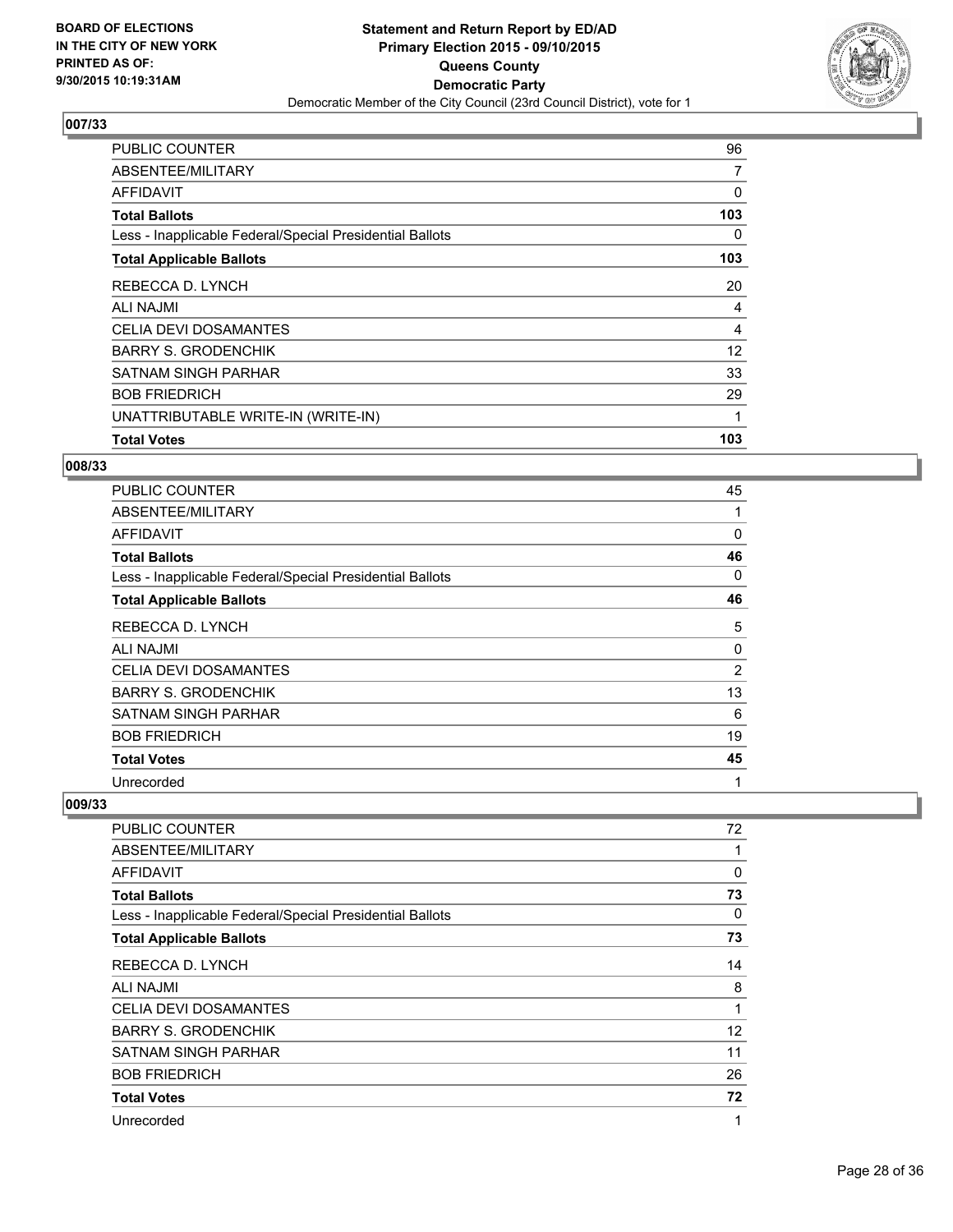

| <b>PUBLIC COUNTER</b>                                    | 96  |
|----------------------------------------------------------|-----|
| ABSENTEE/MILITARY                                        | 7   |
| <b>AFFIDAVIT</b>                                         | 0   |
| <b>Total Ballots</b>                                     | 103 |
| Less - Inapplicable Federal/Special Presidential Ballots | 0   |
| <b>Total Applicable Ballots</b>                          | 103 |
| REBECCA D. LYNCH                                         | 20  |
| ALI NAJMI                                                | 4   |
| <b>CELIA DEVI DOSAMANTES</b>                             | 4   |
| <b>BARRY S. GRODENCHIK</b>                               | 12  |
| <b>SATNAM SINGH PARHAR</b>                               | 33  |
| <b>BOB FRIEDRICH</b>                                     | 29  |
| UNATTRIBUTABLE WRITE-IN (WRITE-IN)                       | 1   |
| <b>Total Votes</b>                                       | 103 |

## **008/33**

| <b>PUBLIC COUNTER</b>                                    | 45             |
|----------------------------------------------------------|----------------|
| ABSENTEE/MILITARY                                        |                |
| <b>AFFIDAVIT</b>                                         | 0              |
| <b>Total Ballots</b>                                     | 46             |
| Less - Inapplicable Federal/Special Presidential Ballots | 0              |
| <b>Total Applicable Ballots</b>                          | 46             |
| REBECCA D. LYNCH                                         | 5              |
| ALI NAJMI                                                | 0              |
| <b>CELIA DEVI DOSAMANTES</b>                             | $\overline{2}$ |
| <b>BARRY S. GRODENCHIK</b>                               | 13             |
| SATNAM SINGH PARHAR                                      | 6              |
| <b>BOB FRIEDRICH</b>                                     | 19             |
| <b>Total Votes</b>                                       | 45             |
| Unrecorded                                               | 1              |

| <b>PUBLIC COUNTER</b>                                    | 72 |
|----------------------------------------------------------|----|
| ABSENTEE/MILITARY                                        | 1  |
| AFFIDAVIT                                                | 0  |
| <b>Total Ballots</b>                                     | 73 |
| Less - Inapplicable Federal/Special Presidential Ballots | 0  |
| <b>Total Applicable Ballots</b>                          | 73 |
| REBECCA D. LYNCH                                         | 14 |
| <b>ALI NAJMI</b>                                         | 8  |
| <b>CELIA DEVI DOSAMANTES</b>                             | 1  |
| <b>BARRY S. GRODENCHIK</b>                               | 12 |
| SATNAM SINGH PARHAR                                      | 11 |
| <b>BOB FRIEDRICH</b>                                     | 26 |
| <b>Total Votes</b>                                       | 72 |
| Unrecorded                                               | 1  |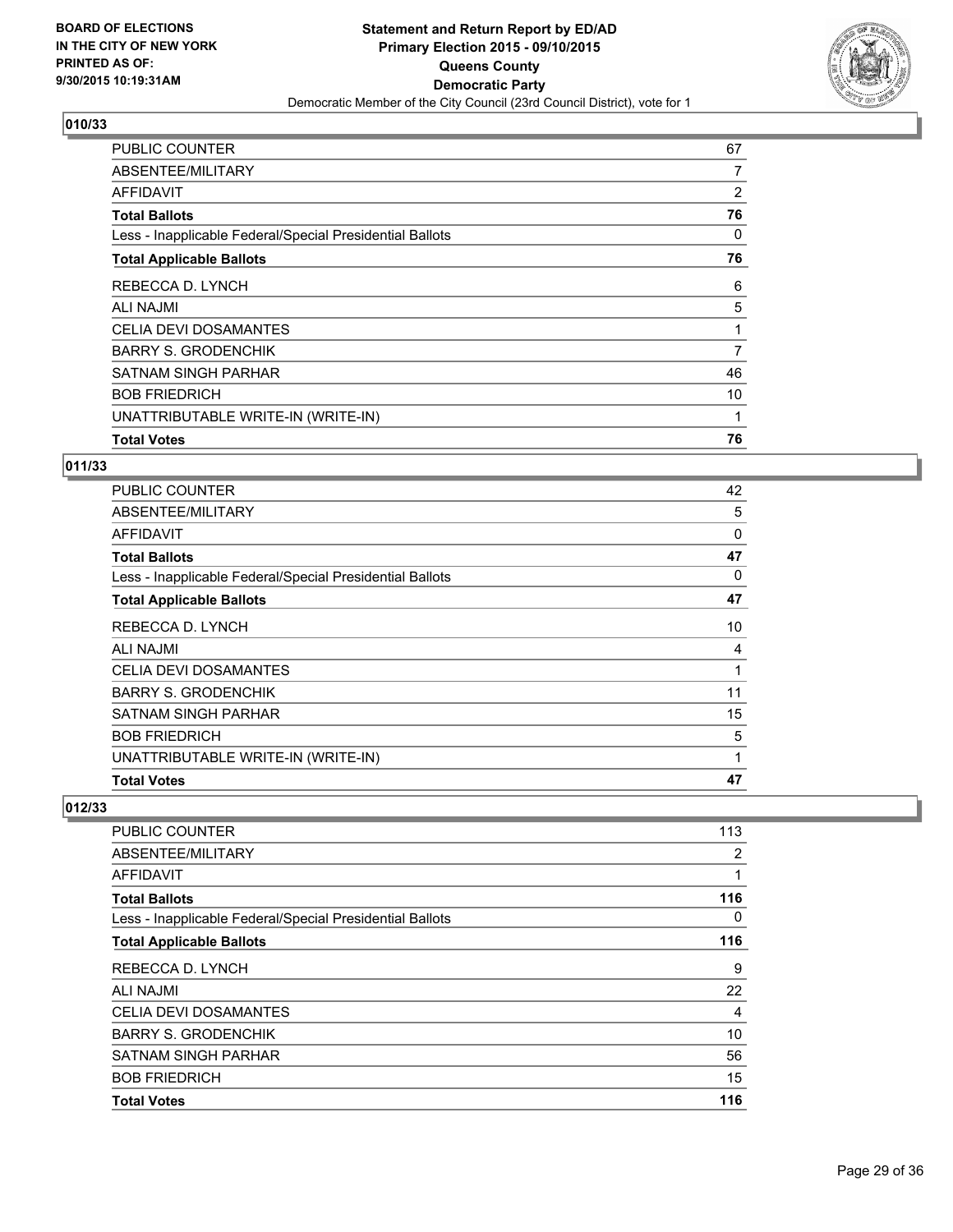

| PUBLIC COUNTER                                           | 67 |
|----------------------------------------------------------|----|
| ABSENTEE/MILITARY                                        | 7  |
| <b>AFFIDAVIT</b>                                         | 2  |
| <b>Total Ballots</b>                                     | 76 |
| Less - Inapplicable Federal/Special Presidential Ballots | 0  |
| <b>Total Applicable Ballots</b>                          | 76 |
| REBECCA D. LYNCH                                         | 6  |
| ALI NAJMI                                                | 5  |
| <b>CELIA DEVI DOSAMANTES</b>                             |    |
| <b>BARRY S. GRODENCHIK</b>                               | 7  |
| <b>SATNAM SINGH PARHAR</b>                               | 46 |
| <b>BOB FRIEDRICH</b>                                     | 10 |
| UNATTRIBUTABLE WRITE-IN (WRITE-IN)                       | 1  |
| <b>Total Votes</b>                                       | 76 |

## **011/33**

| <b>PUBLIC COUNTER</b>                                    | 42       |
|----------------------------------------------------------|----------|
| ABSENTEE/MILITARY                                        | 5        |
| <b>AFFIDAVIT</b>                                         | $\Omega$ |
| <b>Total Ballots</b>                                     | 47       |
| Less - Inapplicable Federal/Special Presidential Ballots | 0        |
| <b>Total Applicable Ballots</b>                          | 47       |
| REBECCA D. LYNCH                                         | 10       |
| ALI NAJMI                                                | 4        |
| <b>CELIA DEVI DOSAMANTES</b>                             | 1        |
| <b>BARRY S. GRODENCHIK</b>                               | 11       |
| SATNAM SINGH PARHAR                                      | 15       |
| <b>BOB FRIEDRICH</b>                                     | 5        |
| UNATTRIBUTABLE WRITE-IN (WRITE-IN)                       | 1        |
| <b>Total Votes</b>                                       | 47       |

| <b>PUBLIC COUNTER</b>                                    | 113 |
|----------------------------------------------------------|-----|
| ABSENTEE/MILITARY                                        | 2   |
| AFFIDAVIT                                                | 1   |
| <b>Total Ballots</b>                                     | 116 |
| Less - Inapplicable Federal/Special Presidential Ballots | 0   |
| <b>Total Applicable Ballots</b>                          | 116 |
| REBECCA D. LYNCH                                         | 9   |
| ALI NAJMI                                                | 22  |
| <b>CELIA DEVI DOSAMANTES</b>                             | 4   |
| <b>BARRY S. GRODENCHIK</b>                               | 10  |
| SATNAM SINGH PARHAR                                      | 56  |
| <b>BOB FRIEDRICH</b>                                     | 15  |
| <b>Total Votes</b>                                       | 116 |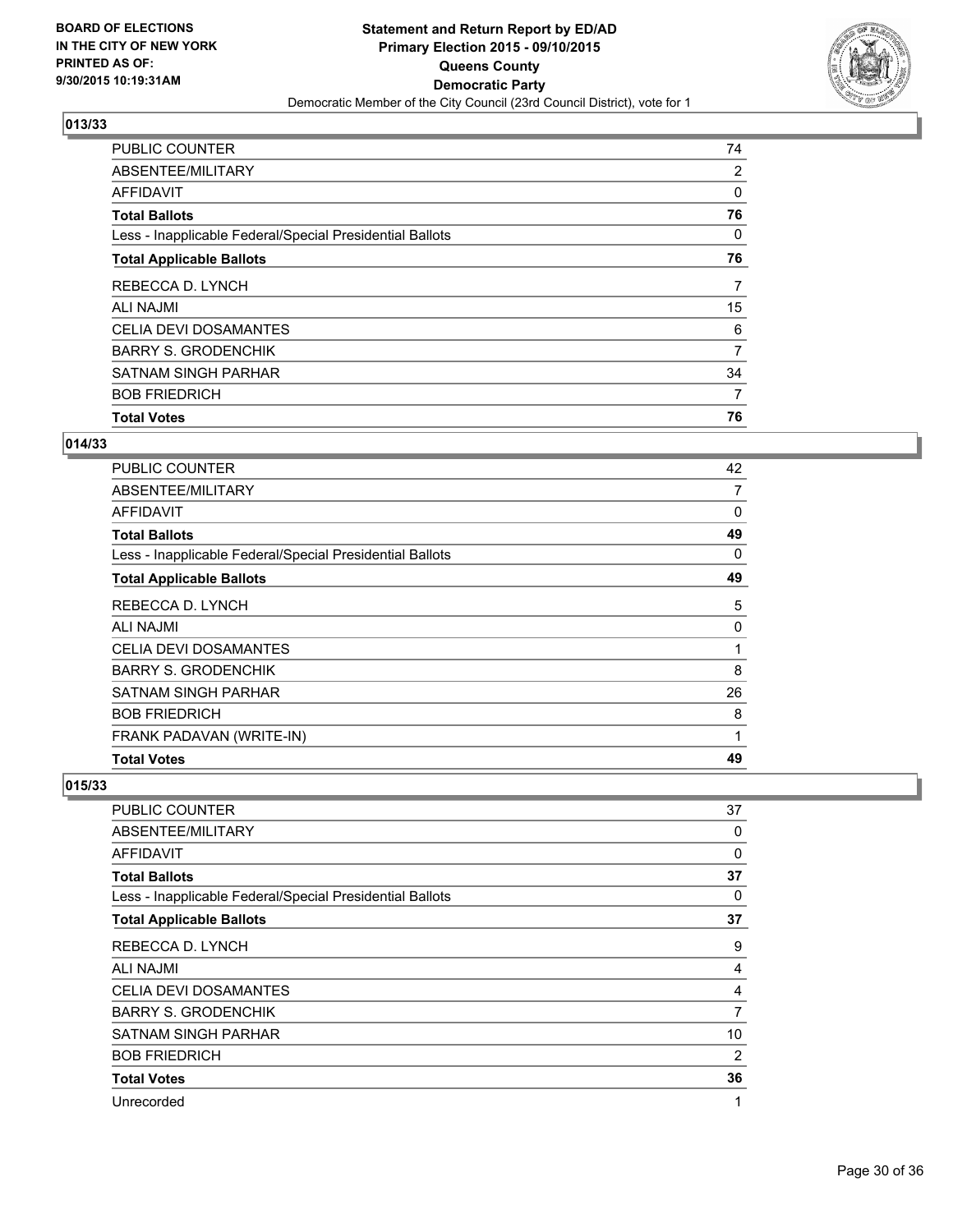

| <b>PUBLIC COUNTER</b>                                    | 74 |
|----------------------------------------------------------|----|
| ABSENTEE/MILITARY                                        | 2  |
| <b>AFFIDAVIT</b>                                         | 0  |
| <b>Total Ballots</b>                                     | 76 |
| Less - Inapplicable Federal/Special Presidential Ballots | 0  |
| <b>Total Applicable Ballots</b>                          | 76 |
| REBECCA D. LYNCH                                         | 7  |
| <b>ALI NAJMI</b>                                         | 15 |
| <b>CELIA DEVI DOSAMANTES</b>                             | 6  |
| <b>BARRY S. GRODENCHIK</b>                               | 7  |
| <b>SATNAM SINGH PARHAR</b>                               | 34 |
| <b>BOB FRIEDRICH</b>                                     | 7  |
| <b>Total Votes</b>                                       | 76 |

#### **014/33**

| <b>PUBLIC COUNTER</b>                                    | 42 |
|----------------------------------------------------------|----|
| ABSENTEE/MILITARY                                        | 7  |
| AFFIDAVIT                                                | 0  |
| <b>Total Ballots</b>                                     | 49 |
| Less - Inapplicable Federal/Special Presidential Ballots | 0  |
| <b>Total Applicable Ballots</b>                          | 49 |
| REBECCA D. LYNCH                                         | 5  |
| ALI NAJMI                                                | 0  |
| <b>CELIA DEVI DOSAMANTES</b>                             | 1  |
| <b>BARRY S. GRODENCHIK</b>                               | 8  |
| SATNAM SINGH PARHAR                                      | 26 |
| <b>BOB FRIEDRICH</b>                                     | 8  |
| FRANK PADAVAN (WRITE-IN)                                 | 1  |
| <b>Total Votes</b>                                       | 49 |

| PUBLIC COUNTER                                           | 37             |
|----------------------------------------------------------|----------------|
| ABSENTEE/MILITARY                                        | 0              |
| AFFIDAVIT                                                | 0              |
| <b>Total Ballots</b>                                     | 37             |
| Less - Inapplicable Federal/Special Presidential Ballots | 0              |
| <b>Total Applicable Ballots</b>                          | 37             |
| REBECCA D. LYNCH                                         | 9              |
| <b>ALI NAJMI</b>                                         | 4              |
| <b>CELIA DEVI DOSAMANTES</b>                             | 4              |
| <b>BARRY S. GRODENCHIK</b>                               | $\overline{7}$ |
| SATNAM SINGH PARHAR                                      | 10             |
| <b>BOB FRIEDRICH</b>                                     | 2              |
| <b>Total Votes</b>                                       | 36             |
| Unrecorded                                               | 1              |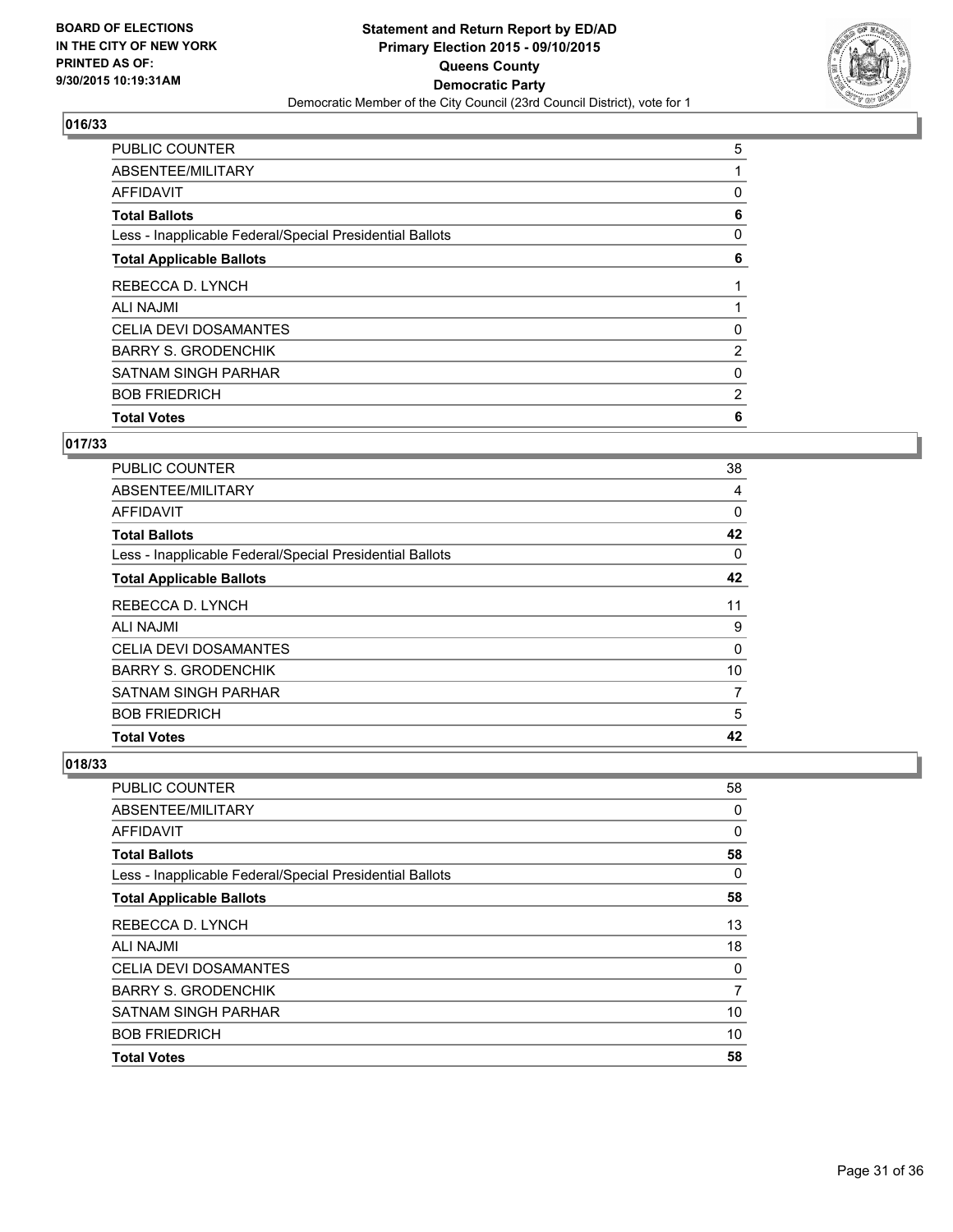

| <b>Total Votes</b>                                       | 6              |
|----------------------------------------------------------|----------------|
| <b>BOB FRIEDRICH</b>                                     | $\overline{2}$ |
| SATNAM SINGH PARHAR                                      | 0              |
| <b>BARRY S. GRODENCHIK</b>                               | $\overline{2}$ |
| <b>CELIA DEVI DOSAMANTES</b>                             | 0              |
| <b>ALI NAJMI</b>                                         |                |
| REBECCA D. LYNCH                                         |                |
| <b>Total Applicable Ballots</b>                          | 6              |
| Less - Inapplicable Federal/Special Presidential Ballots | 0              |
| <b>Total Ballots</b>                                     | 6              |
| <b>AFFIDAVIT</b>                                         | 0              |
| ABSENTEE/MILITARY                                        |                |
| <b>PUBLIC COUNTER</b>                                    | 5              |

## **017/33**

| <b>PUBLIC COUNTER</b>                                    | 38 |
|----------------------------------------------------------|----|
| ABSENTEE/MILITARY                                        | 4  |
| <b>AFFIDAVIT</b>                                         | 0  |
| <b>Total Ballots</b>                                     | 42 |
| Less - Inapplicable Federal/Special Presidential Ballots | 0  |
| <b>Total Applicable Ballots</b>                          | 42 |
| REBECCA D. LYNCH                                         | 11 |
| ALI NAJMI                                                | 9  |
| <b>CELIA DEVI DOSAMANTES</b>                             | 0  |
| <b>BARRY S. GRODENCHIK</b>                               | 10 |
| <b>SATNAM SINGH PARHAR</b>                               | 7  |
| <b>BOB FRIEDRICH</b>                                     | 5  |
| <b>Total Votes</b>                                       | 42 |

| PUBLIC COUNTER                                           | 58 |
|----------------------------------------------------------|----|
| ABSENTEE/MILITARY                                        | 0  |
| AFFIDAVIT                                                | 0  |
| <b>Total Ballots</b>                                     | 58 |
| Less - Inapplicable Federal/Special Presidential Ballots | 0  |
| <b>Total Applicable Ballots</b>                          | 58 |
| REBECCA D. LYNCH                                         | 13 |
| <b>ALI NAJMI</b>                                         | 18 |
| <b>CELIA DEVI DOSAMANTES</b>                             | 0  |
| <b>BARRY S. GRODENCHIK</b>                               | 7  |
| <b>SATNAM SINGH PARHAR</b>                               | 10 |
| <b>BOB FRIEDRICH</b>                                     | 10 |
| <b>Total Votes</b>                                       | 58 |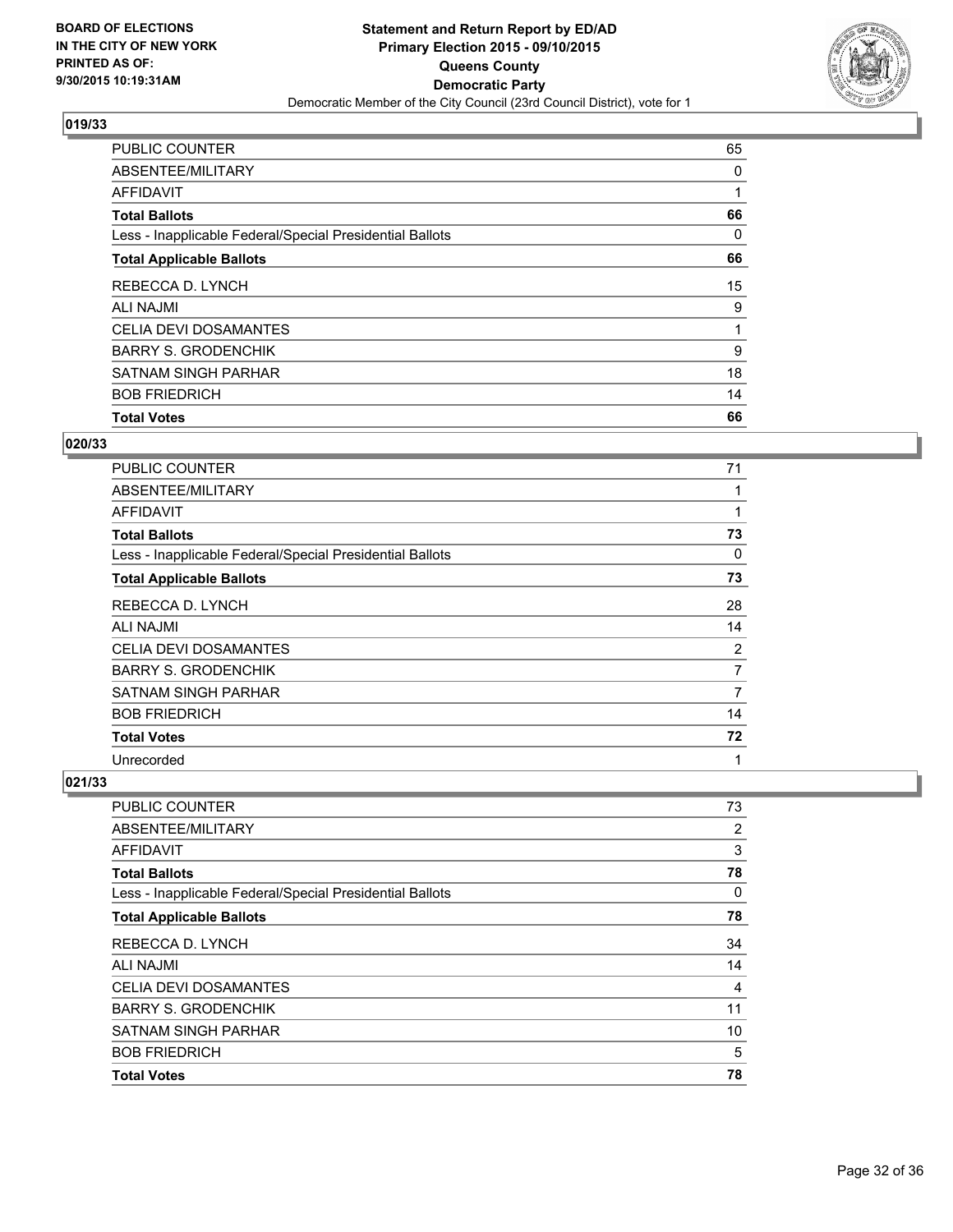

| <b>Total Votes</b> | <b>PUBLIC COUNTER</b>                                    | 65 |
|--------------------|----------------------------------------------------------|----|
|                    | ABSENTEE/MILITARY                                        | 0  |
|                    | <b>AFFIDAVIT</b>                                         |    |
|                    | <b>Total Ballots</b>                                     | 66 |
|                    | Less - Inapplicable Federal/Special Presidential Ballots | 0  |
|                    | <b>Total Applicable Ballots</b>                          | 66 |
|                    | REBECCA D. LYNCH                                         | 15 |
|                    | <b>ALI NAJMI</b>                                         | 9  |
|                    | CELIA DEVI DOSAMANTES                                    |    |
|                    | <b>BARRY S. GRODENCHIK</b>                               | 9  |
|                    | <b>SATNAM SINGH PARHAR</b>                               | 18 |
|                    | <b>BOB FRIEDRICH</b>                                     | 14 |
|                    |                                                          | 66 |

#### **020/33**

| <b>PUBLIC COUNTER</b>                                    | 71 |
|----------------------------------------------------------|----|
| ABSENTEE/MILITARY                                        |    |
| AFFIDAVIT                                                |    |
| <b>Total Ballots</b>                                     | 73 |
| Less - Inapplicable Federal/Special Presidential Ballots | 0  |
| <b>Total Applicable Ballots</b>                          | 73 |
| REBECCA D. LYNCH                                         | 28 |
| ALI NAJMI                                                | 14 |
| <b>CELIA DEVI DOSAMANTES</b>                             | 2  |
| <b>BARRY S. GRODENCHIK</b>                               | 7  |
| <b>SATNAM SINGH PARHAR</b>                               | 7  |
| <b>BOB FRIEDRICH</b>                                     | 14 |
| <b>Total Votes</b>                                       | 72 |
| Unrecorded                                               | 1  |

| <b>PUBLIC COUNTER</b>                                    | 73 |
|----------------------------------------------------------|----|
| ABSENTEE/MILITARY                                        | 2  |
| AFFIDAVIT                                                | 3  |
| <b>Total Ballots</b>                                     | 78 |
| Less - Inapplicable Federal/Special Presidential Ballots | 0  |
| <b>Total Applicable Ballots</b>                          | 78 |
| REBECCA D. LYNCH                                         | 34 |
| <b>ALI NAJMI</b>                                         | 14 |
| <b>CELIA DEVI DOSAMANTES</b>                             | 4  |
| <b>BARRY S. GRODENCHIK</b>                               | 11 |
| <b>SATNAM SINGH PARHAR</b>                               | 10 |
| <b>BOB FRIEDRICH</b>                                     | 5  |
| <b>Total Votes</b>                                       | 78 |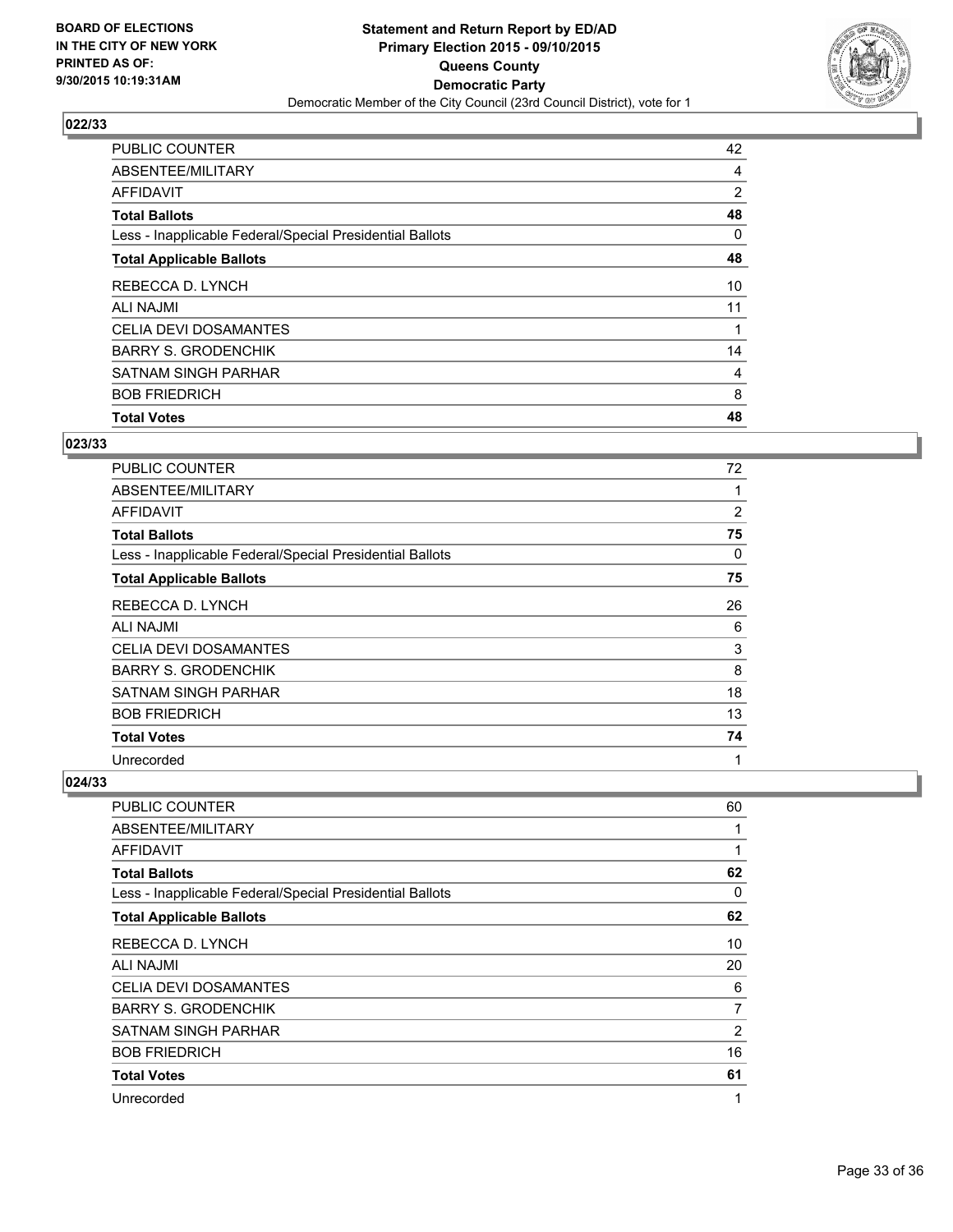

| <b>Total Votes</b>                                       | 48             |
|----------------------------------------------------------|----------------|
| <b>BOB FRIEDRICH</b>                                     | 8              |
| <b>SATNAM SINGH PARHAR</b>                               | 4              |
| <b>BARRY S. GRODENCHIK</b>                               | 14             |
| <b>CELIA DEVI DOSAMANTES</b>                             |                |
| <b>ALI NAJMI</b>                                         | 11             |
| REBECCA D. LYNCH                                         | 10             |
| <b>Total Applicable Ballots</b>                          | 48             |
| Less - Inapplicable Federal/Special Presidential Ballots | 0              |
| <b>Total Ballots</b>                                     | 48             |
| <b>AFFIDAVIT</b>                                         | $\overline{2}$ |
| ABSENTEE/MILITARY                                        | 4              |
| PUBLIC COUNTER                                           | 42             |

#### **023/33**

| <b>PUBLIC COUNTER</b>                                    | 72 |
|----------------------------------------------------------|----|
| ABSENTEE/MILITARY                                        |    |
| AFFIDAVIT                                                | 2  |
| <b>Total Ballots</b>                                     | 75 |
| Less - Inapplicable Federal/Special Presidential Ballots | 0  |
| <b>Total Applicable Ballots</b>                          | 75 |
| REBECCA D. LYNCH                                         | 26 |
| ALI NAJMI                                                | 6  |
| <b>CELIA DEVI DOSAMANTES</b>                             | 3  |
| <b>BARRY S. GRODENCHIK</b>                               | 8  |
| SATNAM SINGH PARHAR                                      | 18 |
| <b>BOB FRIEDRICH</b>                                     | 13 |
| <b>Total Votes</b>                                       | 74 |
| Unrecorded                                               | 1  |

| <b>PUBLIC COUNTER</b>                                    | 60 |
|----------------------------------------------------------|----|
| ABSENTEE/MILITARY                                        | 1  |
| AFFIDAVIT                                                | 1  |
| <b>Total Ballots</b>                                     | 62 |
| Less - Inapplicable Federal/Special Presidential Ballots | 0  |
| <b>Total Applicable Ballots</b>                          | 62 |
| REBECCA D. LYNCH                                         | 10 |
| <b>ALI NAJMI</b>                                         | 20 |
| <b>CELIA DEVI DOSAMANTES</b>                             | 6  |
| <b>BARRY S. GRODENCHIK</b>                               | 7  |
| <b>SATNAM SINGH PARHAR</b>                               | 2  |
| <b>BOB FRIEDRICH</b>                                     | 16 |
| <b>Total Votes</b>                                       | 61 |
| Unrecorded                                               | 1  |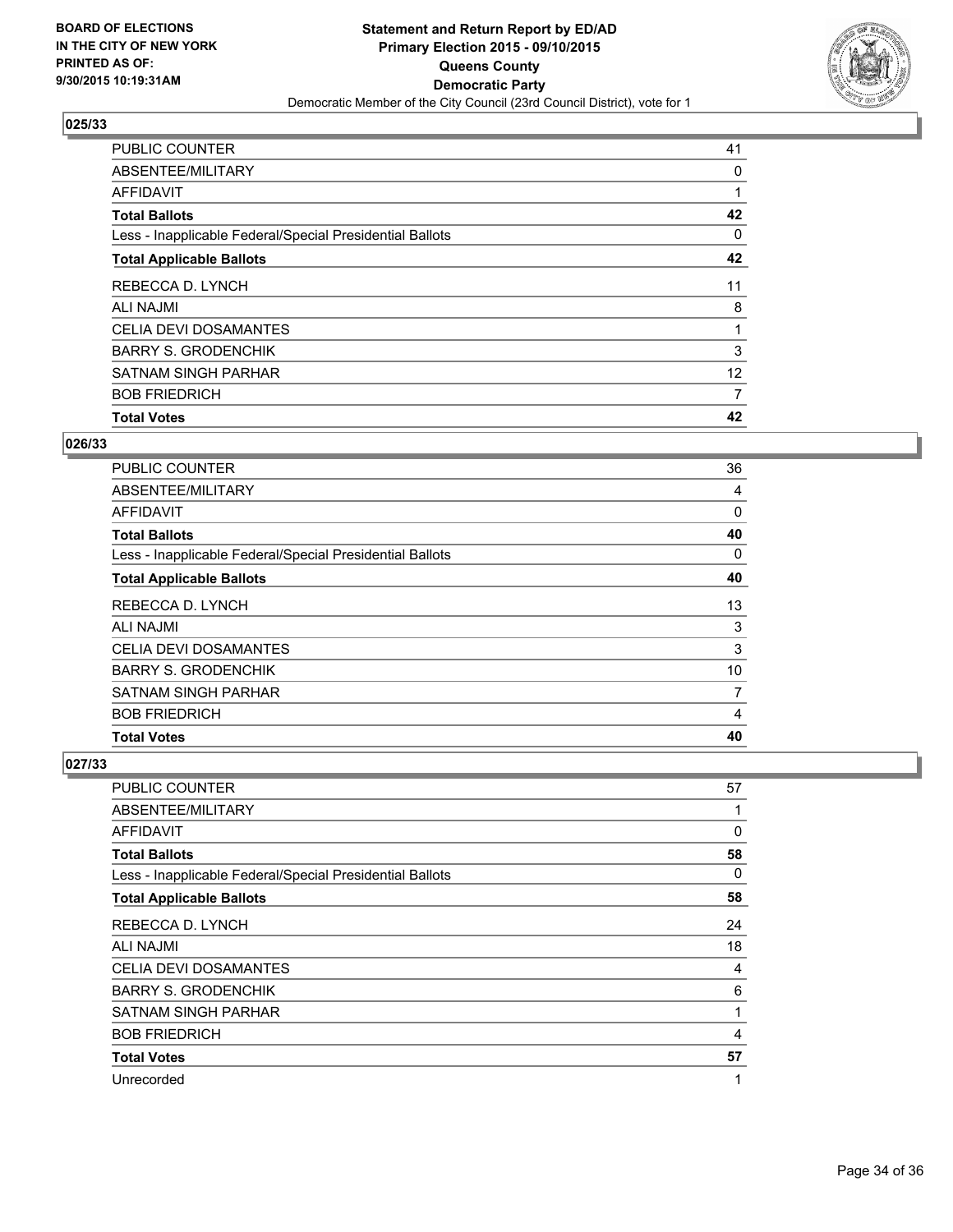

| <b>Total Votes</b>                                       |    |
|----------------------------------------------------------|----|
|                                                          | 42 |
| <b>BOB FRIEDRICH</b>                                     | 7  |
| <b>SATNAM SINGH PARHAR</b>                               | 12 |
| <b>BARRY S. GRODENCHIK</b>                               | 3  |
| <b>CELIA DEVI DOSAMANTES</b>                             |    |
| <b>ALI NAJMI</b>                                         | 8  |
| REBECCA D. LYNCH                                         | 11 |
| <b>Total Applicable Ballots</b>                          | 42 |
| Less - Inapplicable Federal/Special Presidential Ballots | 0  |
| <b>Total Ballots</b>                                     | 42 |
| <b>AFFIDAVIT</b>                                         |    |
| ABSENTEE/MILITARY                                        | 0  |
| PUBLIC COUNTER                                           | 41 |

#### **026/33**

| <b>PUBLIC COUNTER</b>                                    | 36 |
|----------------------------------------------------------|----|
| ABSENTEE/MILITARY                                        | 4  |
| <b>AFFIDAVIT</b>                                         | 0  |
| <b>Total Ballots</b>                                     | 40 |
| Less - Inapplicable Federal/Special Presidential Ballots | 0  |
| <b>Total Applicable Ballots</b>                          | 40 |
| REBECCA D. LYNCH                                         | 13 |
| ALI NAJMI                                                | 3  |
| <b>CELIA DEVI DOSAMANTES</b>                             | 3  |
| <b>BARRY S. GRODENCHIK</b>                               | 10 |
| SATNAM SINGH PARHAR                                      | 7  |
| <b>BOB FRIEDRICH</b>                                     | 4  |
| <b>Total Votes</b>                                       | 40 |

| <b>PUBLIC COUNTER</b>                                    | 57 |
|----------------------------------------------------------|----|
| ABSENTEE/MILITARY                                        | 1  |
| AFFIDAVIT                                                | 0  |
| <b>Total Ballots</b>                                     | 58 |
| Less - Inapplicable Federal/Special Presidential Ballots | 0  |
| <b>Total Applicable Ballots</b>                          | 58 |
| REBECCA D. LYNCH                                         | 24 |
| <b>ALI NAJMI</b>                                         | 18 |
| <b>CELIA DEVI DOSAMANTES</b>                             | 4  |
| <b>BARRY S. GRODENCHIK</b>                               | 6  |
| SATNAM SINGH PARHAR                                      | 1  |
| <b>BOB FRIEDRICH</b>                                     | 4  |
| <b>Total Votes</b>                                       | 57 |
| Unrecorded                                               | 1  |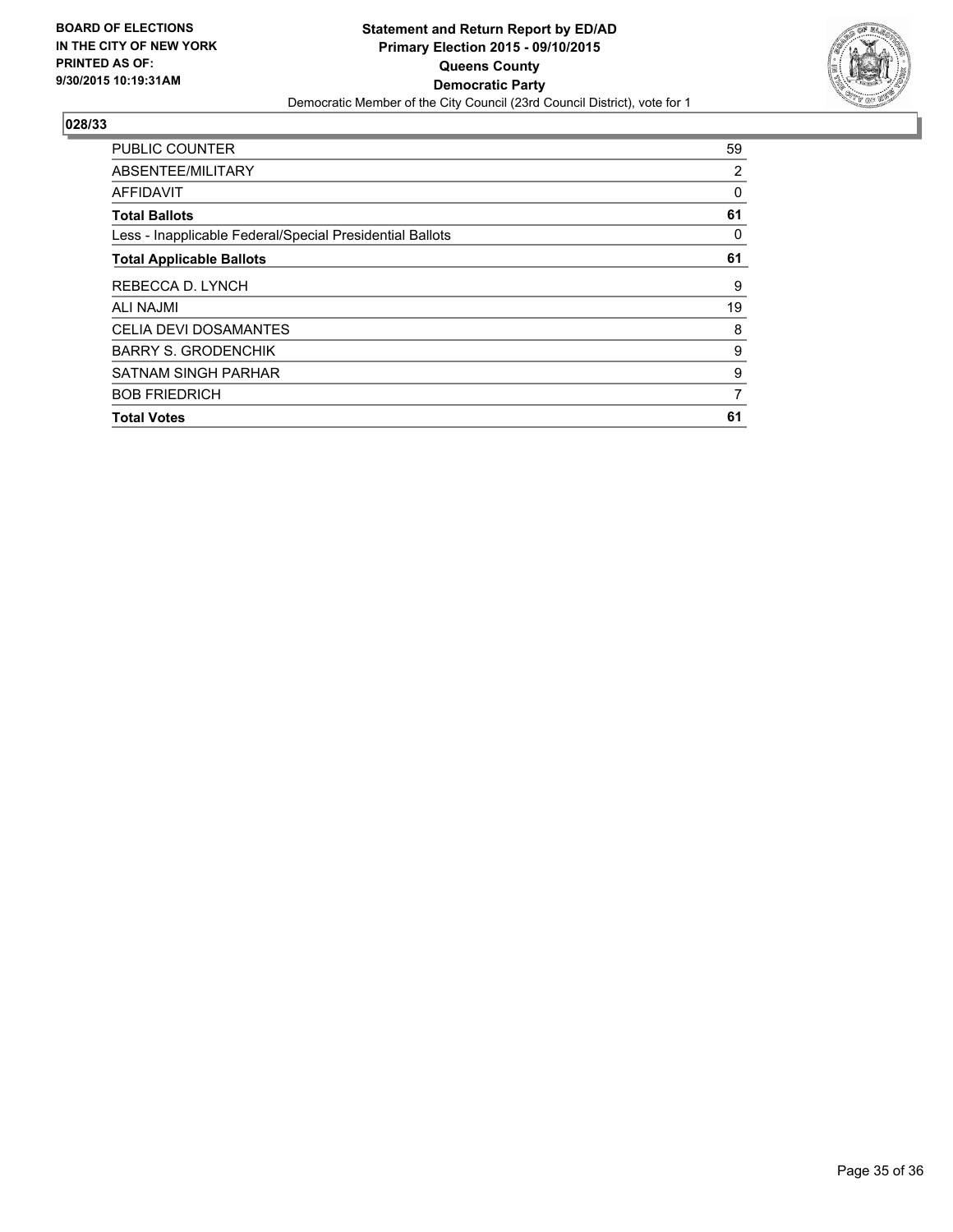

| <b>PUBLIC COUNTER</b>                                    | 59 |
|----------------------------------------------------------|----|
| ABSENTEE/MILITARY                                        | 2  |
| <b>AFFIDAVIT</b>                                         | 0  |
| <b>Total Ballots</b>                                     | 61 |
| Less - Inapplicable Federal/Special Presidential Ballots | 0  |
| <b>Total Applicable Ballots</b>                          | 61 |
| REBECCA D. LYNCH                                         | 9  |
| <b>ALI NAJMI</b>                                         | 19 |
| <b>CELIA DEVI DOSAMANTES</b>                             | 8  |
| <b>BARRY S. GRODENCHIK</b>                               | 9  |
| <b>SATNAM SINGH PARHAR</b>                               | 9  |
| <b>BOB FRIEDRICH</b>                                     | 7  |
| <b>Total Votes</b>                                       | 61 |